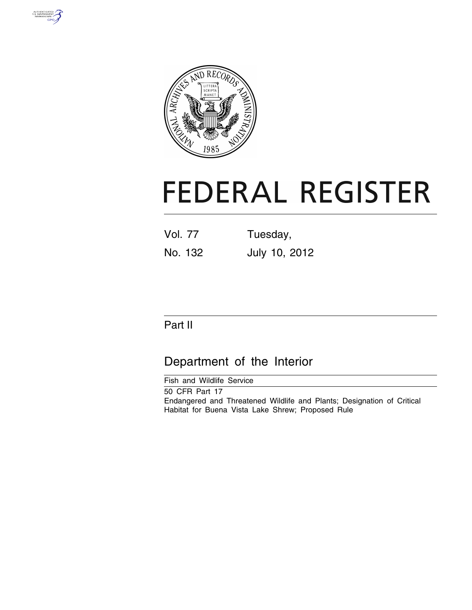



# **FEDERAL REGISTER**

| <b>Vol. 77</b> | Tuesday,      |  |  |  |  |  |
|----------------|---------------|--|--|--|--|--|
| No. 132        | July 10, 2012 |  |  |  |  |  |

# Part II

# Department of the Interior

Fish and Wildlife Service

50 CFR Part 17 Endangered and Threatened Wildlife and Plants; Designation of Critical Habitat for Buena Vista Lake Shrew; Proposed Rule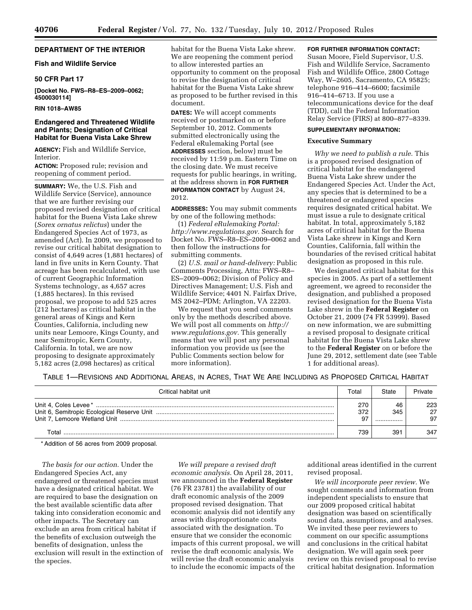# **DEPARTMENT OF THE INTERIOR**

# **Fish and Wildlife Service**

## **50 CFR Part 17**

**[Docket No. FWS–R8–ES–2009–0062; 4500030114]** 

# **RIN 1018–AW85**

# **Endangered and Threatened Wildlife and Plants; Designation of Critical Habitat for Buena Vista Lake Shrew**

**AGENCY:** Fish and Wildlife Service, Interior.

**ACTION:** Proposed rule; revision and reopening of comment period.

**SUMMARY:** We, the U.S. Fish and Wildlife Service (Service), announce that we are further revising our proposed revised designation of critical habitat for the Buena Vista Lake shrew (*Sorex ornatus relictus*) under the Endangered Species Act of 1973, as amended (Act). In 2009, we proposed to revise our critical habitat designation to consist of 4,649 acres (1,881 hectares) of land in five units in Kern County. That acreage has been recalculated, with use of current Geographic Information Systems technology, as 4,657 acres (1,885 hectares). In this revised proposal, we propose to add 525 acres (212 hectares) as critical habitat in the general areas of Kings and Kern Counties, California, including new units near Lemoore, Kings County, and near Semitropic, Kern County, California. In total, we are now proposing to designate approximately 5,182 acres (2,098 hectares) as critical

habitat for the Buena Vista Lake shrew. We are reopening the comment period to allow interested parties an opportunity to comment on the proposal to revise the designation of critical habitat for the Buena Vista Lake shrew as proposed to be further revised in this document.

**DATES:** We will accept comments received or postmarked on or before September 10, 2012. Comments submitted electronically using the Federal eRulemaking Portal (see **ADDRESSES** section, below) must be received by 11:59 p.m. Eastern Time on the closing date. We must receive requests for public hearings, in writing, at the address shown in **FOR FURTHER INFORMATION CONTACT** by August 24, 2012.

**ADDRESSES:** You may submit comments by one of the following methods:

(1) *Federal eRulemaking Portal: [http://www.regulations.gov.](http://www.regulations.gov)* Search for Docket No. FWS–R8–ES–2009–0062 and then follow the instructions for submitting comments.

(2) *U.S. mail or hand-delivery:* Public Comments Processing, Attn: FWS–R8– ES–2009–0062; Division of Policy and Directives Management; U.S. Fish and Wildlife Service; 4401 N. Fairfax Drive, MS 2042–PDM; Arlington, VA 22203.

We request that you send comments only by the methods described above. We will post all comments on *[http://](http://www.regulations.gov) [www.regulations.gov.](http://www.regulations.gov)* This generally means that we will post any personal information you provide us (see the Public Comments section below for more information).

# **FOR FURTHER INFORMATION CONTACT:**

Susan Moore, Field Supervisor, U.S. Fish and Wildlife Service, Sacramento Fish and Wildlife Office, 2800 Cottage Way, W–2605, Sacramento, CA 95825; telephone 916–414–6600; facsimile 916–414–6713. If you use a telecommunications device for the deaf (TDD), call the Federal Information Relay Service (FIRS) at 800–877–8339.

#### **SUPPLEMENTARY INFORMATION:**

#### **Executive Summary**

*Why we need to publish a rule.* This is a proposed revised designation of critical habitat for the endangered Buena Vista Lake shrew under the Endangered Species Act. Under the Act, any species that is determined to be a threatened or endangered species requires designated critical habitat. We must issue a rule to designate critical habitat. In total, approximately 5,182 acres of critical habitat for the Buena Vista Lake shrew in Kings and Kern Counties, California, fall within the boundaries of the revised critical habitat designation as proposed in this rule.

We designated critical habitat for this species in 2005. As part of a settlement agreement, we agreed to reconsider the designation, and published a proposed revised designation for the Buena Vista Lake shrew in the **Federal Register** on October 21, 2009 (74 FR 53999). Based on new information, we are submitting a revised proposal to designate critical habitat for the Buena Vista Lake shrew to the **Federal Register** on or before the June 29, 2012, settlement date (see Table 1 for additional areas).

TABLE 1—REVISIONS AND ADDITIONAL AREAS, IN ACRES, THAT WE ARE INCLUDING AS PROPOSED CRITICAL HABITAT

| Critical habitat unit | Total      | State         | Private          |
|-----------------------|------------|---------------|------------------|
|                       | 270<br>372 | 46<br>345<br> | 223.<br>27<br>97 |
| ™otal                 | 739        | 391           | 347              |

\* Addition of 56 acres from 2009 proposal.

*The basis for our action.* Under the Endangered Species Act, any endangered or threatened species must have a designated critical habitat. We are required to base the designation on the best available scientific data after taking into consideration economic and other impacts. The Secretary can exclude an area from critical habitat if the benefits of exclusion outweigh the benefits of designation, unless the exclusion will result in the extinction of the species.

*We will prepare a revised draft economic analysis.* On April 28, 2011, we announced in the **Federal Register**  (76 FR 23781) the availability of our draft economic analysis of the 2009 proposed revised designation. That economic analysis did not identify any areas with disproportionate costs associated with the designation. To ensure that we consider the economic impacts of this current proposal, we will revise the draft economic analysis. We will revise the draft economic analysis to include the economic impacts of the

additional areas identified in the current revised proposal.

*We will incorporate peer review.* We sought comments and information from independent specialists to ensure that our 2009 proposed critical habitat designation was based on scientifically sound data, assumptions, and analyses. We invited these peer reviewers to comment on our specific assumptions and conclusions in the critical habitat designation. We will again seek peer review on this revised proposal to revise critical habitat designation. Information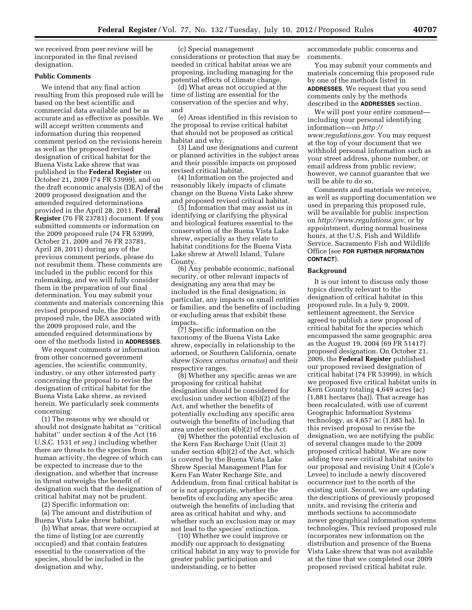we received from peer review will be incorporated in the final revised designation.

### **Public Comments**

We intend that any final action resulting from this proposed rule will be based on the best scientific and commercial data available and be as accurate and as effective as possible. We will accept written comments and information during this reopened comment period on the revisions herein as well as the proposed revised designation of critical habitat for the Buena Vista Lake shrew that was published in the **Federal Register** on October 21, 2009 (74 FR 53999), and on the draft economic analysis (DEA) of the 2009 proposed designation and the amended required determinations provided in the April 28, 2011, **Federal Register** (76 FR 23781) document. If you submitted comments or information on the 2009 proposed rule (74 FR 53999, October 21, 2009 and 76 FR 23781, April 28, 2011) during any of the previous comment periods, please do not resubmit them. These comments are included in the public record for this rulemaking, and we will fully consider them in the preparation of our final determination. You may submit your comments and materials concerning this revised proposed rule, the 2009 proposed rule, the DEA associated with the 2009 proposed rule, and the amended required determinations by one of the methods listed in **ADDRESSES**.

We request comments or information from other concerned government agencies, the scientific community, industry, or any other interested party concerning the proposal to revise the designation of critical habitat for the Buena Vista Lake shrew, as revised herein. We particularly seek comments concerning:

(1) The reasons why we should or should not designate habitat as ''critical habitat'' under section 4 of the Act (16 U.S.C. 1531 *et seq.*) including whether there are threats to the species from human activity, the degree of which can be expected to increase due to the designation, and whether that increase in threat outweighs the benefit of designation such that the designation of critical habitat may not be prudent.

(2) Specific information on:

(a) The amount and distribution of Buena Vista Lake shrew habitat,

(b) What areas, that were occupied at the time of listing (or are currently occupied) and that contain features essential to the conservation of the species, should be included in the designation and why,

(c) Special management considerations or protection that may be needed in critical habitat areas we are proposing, including managing for the potential effects of climate change,

(d) What areas not occupied at the time of listing are essential for the conservation of the species and why, and

(e) Areas identified in this revision to the proposal to revise critical habitat that should not be proposed as critical habitat and why.

(3) Land use designations and current or planned activities in the subject areas and their possible impacts on proposed revised critical habitat.

(4) Information on the projected and reasonably likely impacts of climate change on the Buena Vista Lake shrew and proposed revised critical habitat.

(5) Information that may assist us in identifying or clarifying the physical and biological features essential to the conservation of the Buena Vista Lake shrew, especially as they relate to habitat conditions for the Buena Vista Lake shrew at Atwell Island, Tulare County.

(6) Any probable economic, national security, or other relevant impacts of designating any area that may be included in the final designation; in particular, any impacts on small entities or families, and the benefits of including or excluding areas that exhibit these impacts.

(7) Specific information on the taxonomy of the Buena Vista Lake shrew, especially in relationship to the adorned, or Southern California, ornate shrew (*Sorex ornatus ornatus*) and their respective ranges.

(8) Whether any specific areas we are proposing for critical habitat designation should be considered for exclusion under section 4(b)(2) of the Act, and whether the benefits of potentially excluding any specific area outweigh the benefits of including that area under section 4(b)(2) of the Act.

(9) Whether the potential exclusion of the Kern Fan Recharge Unit (Unit 3) under section 4(b)(2) of the Act, which is covered by the Buena Vista Lake Shrew Special Management Plan for Kern Fan Water Recharge Site, and Addendum, from final critical habitat is or is not appropriate, whether the benefits of excluding any specific area outweigh the benefits of including that area as critical habitat and why, and whether such an exclusion may or may not lead to the species' extinction.

(10) Whether we could improve or modify our approach to designating critical habitat in any way to provide for greater public participation and understanding, or to better

accommodate public concerns and comments.

You may submit your comments and materials concerning this proposed rule by one of the methods listed in **ADDRESSES**. We request that you send comments only by the methods described in the **ADDRESSES** section.

We will post your entire comment including your personal identifying information—on *[http://](http://www.regulations.gov) [www.regulations.gov.](http://www.regulations.gov)* You may request at the top of your document that we withhold personal information such as your street address, phone number, or email address from public review; however, we cannot guarantee that we will be able to do so.

Comments and materials we receive, as well as supporting documentation we used in preparing this proposed rule, will be available for public inspection on *[http://www.regulations.gov,](http://www.regulations.gov)* or by appointment, during normal business hours, at the U.S. Fish and Wildlife Service, Sacramento Fish and Wildlife Office (see **FOR FURTHER INFORMATION CONTACT**).

#### **Background**

It is our intent to discuss only those topics directly relevant to the designation of critical habitat in this proposed rule. In a July 9, 2009, settlement agreement, the Service agreed to publish a new proposal of critical habitat for the species which encompassed the same geographic area as the August 19, 2004 (69 FR 51417) proposed designation. On October 21, 2009, the **Federal Register** published our proposed revised designation of critical habitat (74 FR 53999), in which we proposed five critical habitat units in Kern County totaling 4,649 acres (ac) (1,881 hectares (ha)). That acreage has been recalculated, with use of current Geographic Information Systems technology, as 4,657 ac (1,885 ha). In this revised proposal to revise the designation, we are notifying the public of several changes made to the 2009 proposed critical habitat. We are now adding two new critical habitat units to our proposal and revising Unit 4 (Cole's Levee) to include a newly discovered occurrence just to the north of the existing unit. Second, we are updating the descriptions of previously proposed units, and revising the criteria and methods sections to accommodate newer geographical information systems technologies. This revised proposed rule incorporates new information on the distribution and presence of the Buena Vista Lake shrew that was not available at the time that we completed our 2009 proposed revised critical habitat rule.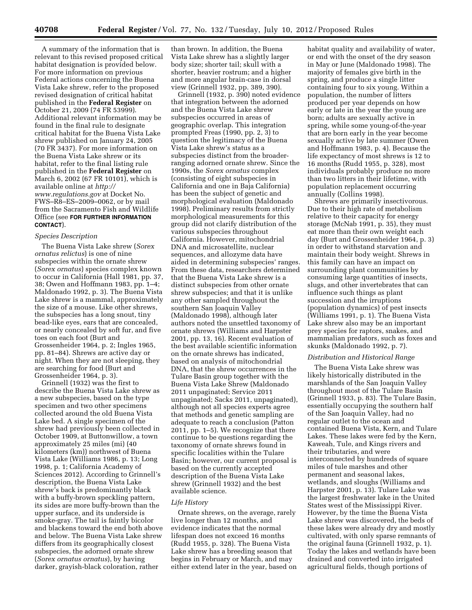A summary of the information that is relevant to this revised proposed critical habitat designation is provided below. For more information on previous Federal actions concerning the Buena Vista Lake shrew, refer to the proposed revised designation of critical habitat published in the **Federal Register** on October 21, 2009 (74 FR 53999). Additional relevant information may be found in the final rule to designate critical habitat for the Buena Vista Lake shrew published on January 24, 2005 (70 FR 3437). For more information on the Buena Vista Lake shrew or its habitat, refer to the final listing rule published in the **Federal Register** on March 6, 2002 (67 FR 10101), which is available online at *[http://](http://www.regulations.gov)  [www.regulations.gov](http://www.regulations.gov)* at Docket No. FWS–R8–ES–2009–0062, or by mail from the Sacramento Fish and Wildlife Office (see **FOR FURTHER INFORMATION CONTACT**).

# *Species Description*

The Buena Vista Lake shrew (*Sorex ornatus relictus*) is one of nine subspecies within the ornate shrew (*Sorex ornatus*) species complex known to occur in California (Hall 1981, pp. 37, 38; Owen and Hoffmann 1983, pp. 1–4; Maldonado 1992, p. 3). The Buena Vista Lake shrew is a mammal, approximately the size of a mouse. Like other shrews, the subspecies has a long snout, tiny bead-like eyes, ears that are concealed, or nearly concealed by soft fur, and five toes on each foot (Burt and Grossenheider 1964, p. 2; Ingles 1965, pp. 81–84). Shrews are active day or night. When they are not sleeping, they are searching for food (Burt and Grossenheider 1964, p. 3).

Grinnell (1932) was the first to describe the Buena Vista Lake shrew as a new subspecies, based on the type specimen and two other specimens collected around the old Buena Vista Lake bed. A single specimen of the shrew had previously been collected in October 1909, at Buttonwillow, a town approximately 25 miles (mi) (40 kilometers (km)) northwest of Buena Vista Lake (Williams 1986, p. 13; Long 1998, p. 1; California Academy of Sciences 2012). According to Grinnell's description, the Buena Vista Lake shrew's back is predominantly black with a buffy-brown speckling pattern, its sides are more buffy-brown than the upper surface, and its underside is smoke-gray. The tail is faintly bicolor and blackens toward the end both above and below. The Buena Vista Lake shrew differs from its geographically closest subspecies, the adorned ornate shrew (*Sorex ornatus ornatus*), by having darker, grayish-black coloration, rather

than brown. In addition, the Buena Vista Lake shrew has a slightly larger body size; shorter tail; skull with a shorter, heavier rostrum; and a higher and more angular brain-case in dorsal view (Grinnell 1932, pp. 389, 390).

Grinnell (1932, p. 390) noted evidence that integration between the adorned and the Buena Vista Lake shrew subspecies occurred in areas of geographic overlap. This integration prompted Freas (1990, pp. 2, 3) to question the legitimacy of the Buena Vista Lake shrew's status as a subspecies distinct from the broaderranging adorned ornate shrew. Since the 1990s, the *Sorex ornatus* complex (consisting of eight subspecies in California and one in Baja California) has been the subject of genetic and morphological evaluation (Maldonado 1998). Preliminary results from strictly morphological measurements for this group did not clarify distribution of the various subspecies throughout California. However, mitochondrial DNA and microsatellite, nuclear sequences, and allozyme data have aided in determining subspecies' ranges. From these data, researchers determined that the Buena Vista Lake shrew is a distinct subspecies from other ornate shrew subspecies; and that it is unlike any other sampled throughout the southern San Joaquin Valley (Maldonado 1998), although later authors noted the unsettled taxonomy of ornate shrews (Williams and Harpster 2001, pp. 13, 16). Recent evaluation of the best available scientific information on the ornate shrews has indicated, based on analysis of mitochondrial DNA, that the shrew occurrences in the Tulare Basin group together with the Buena Vista Lake Shrew (Maldonado 2011 unpaginated; Service 2011 unpaginated; Sacks 2011, unpaginated), although not all species experts agree that methods and genetic sampling are adequate to reach a conclusion (Patton 2011, pp. 1–5). We recognize that there continue to be questions regarding the taxonomy of ornate shrews found in specific localities within the Tulare Basin; however, our current proposal is based on the currently accepted description of the Buena Vista Lake shrew (Grinnell 1932) and the best available science.

# *Life History*

Ornate shrews, on the average, rarely live longer than 12 months, and evidence indicates that the normal lifespan does not exceed 16 months (Rudd 1955, p. 328). The Buena Vista Lake shrew has a breeding season that begins in February or March, and may either extend later in the year, based on habitat quality and availability of water, or end with the onset of the dry season in May or June (Maldonado 1998). The majority of females give birth in the spring, and produce a single litter containing four to six young. Within a population, the number of litters produced per year depends on how early or late in the year the young are born; adults are sexually active in spring, while some young-of-the-year that are born early in the year become sexually active by late summer (Owen and Hoffmann 1983, p. 4). Because the life expectancy of most shrews is 12 to 16 months (Rudd 1955, p. 328), most individuals probably produce no more than two litters in their lifetime, with population replacement occurring annually (Collins 1998).

Shrews are primarily insectivorous. Due to their high rate of metabolism relative to their capacity for energy storage (McNab 1991, p. 35), they must eat more than their own weight each day (Burt and Grossenheider 1964, p. 3) in order to withstand starvation and maintain their body weight. Shrews in this family can have an impact on surrounding plant communities by consuming large quantities of insects, slugs, and other invertebrates that can influence such things as plant succession and the irruptions (population dynamics) of pest insects (Williams 1991, p. 1). The Buena Vista Lake shrew also may be an important prey species for raptors, snakes, and mammalian predators, such as foxes and skunks (Maldonado 1992, p. 7).

#### *Distribution and Historical Range*

The Buena Vista Lake shrew was likely historically distributed in the marshlands of the San Joaquin Valley throughout most of the Tulare Basin (Grinnell 1933, p. 83). The Tulare Basin, essentially occupying the southern half of the San Joaquin Valley, had no regular outlet to the ocean and contained Buena Vista, Kern, and Tulare Lakes. These lakes were fed by the Kern, Kaweah, Tule, and Kings rivers and their tributaries, and were interconnected by hundreds of square miles of tule marshes and other permanent and seasonal lakes, wetlands, and sloughs (Williams and Harpster 2001, p. 13). Tulare Lake was the largest freshwater lake in the United States west of the Mississippi River. However, by the time the Buena Vista Lake shrew was discovered, the beds of these lakes were already dry and mostly cultivated, with only sparse remnants of the original fauna (Grinnell 1932, p. 1). Today the lakes and wetlands have been drained and converted into irrigated agricultural fields, though portions of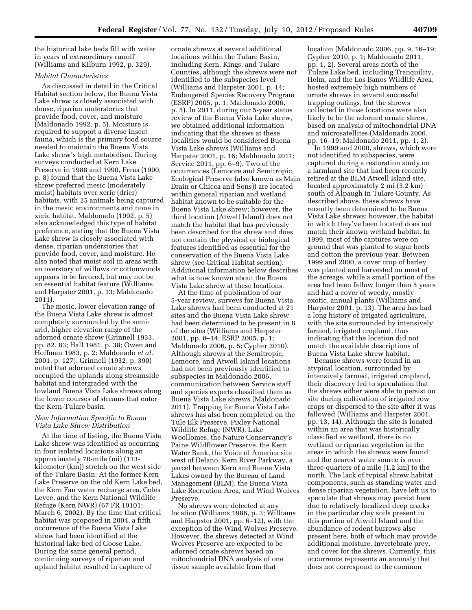the historical lake beds fill with water in years of extraordinary runoff (Williams and Kilburn 1992, p. 329).

# *Habitat Characteristics*

As discussed in detail in the Critical Habitat section below, the Buena Vista Lake shrew is closely associated with dense, riparian understories that provide food, cover, and moisture (Maldonado 1992, p. 5). Moisture is required to support a diverse insect fauna, which is the primary food source needed to maintain the Buena Vista Lake shrew's high metabolism. During surveys conducted at Kern Lake Preserve in 1988 and 1990, Freas (1990, p. 8) found that the Buena Vista Lake shrew preferred mesic (moderately moist) habitats over xeric (drier) habitats, with 25 animals being captured in the mesic environments and none in xeric habitat. Maldonado (1992, p. 5) also acknowledged this type of habitat preference, stating that the Buena Vista Lake shrew is closely associated with dense, riparian understories that provide food, cover, and moisture. He also noted that moist soil in areas with an overstory of willows or cottonwoods appears to be favored, but may not be an essential habitat feature (Williams and Harpster 2001, p. 13; Maldonado 2011).

The mesic, lower elevation range of the Buena Vista Lake shrew is almost completely surrounded by the semiarid, higher elevation range of the adorned ornate shrew (Grinnell 1933, pp. 82, 83; Hall 1981, p. 38; Owen and Hoffman 1983, p. 2: Maldonado *et al.*  2001, p. 127). Grinnell (1932, p. 390) noted that adorned ornate shrews occupied the uplands along streamside habitat and intergraded with the lowland Buena Vista Lake shrews along the lower courses of streams that enter the Kern-Tulare basin.

# *New Information Specific to Buena Vista Lake Shrew Distribution*

At the time of listing, the Buena Vista Lake shrew was identified as occurring in four isolated locations along an approximately 70-mile (mi) (113 kilometer (km)) stretch on the west side of the Tulare Basin: At the former Kern Lake Preserve on the old Kern Lake bed, the Kern Fan water recharge area, Coles Levee, and the Kern National Wildlife Refuge (Kern NWR) (67 FR 10101; March 6, 2002). By the time that critical habitat was proposed in 2004, a fifth occurrence of the Buena Vista Lake shrew had been identified at the historical lake bed of Goose Lake. During the same general period, continuing surveys of riparian and upland habitat resulted in capture of

ornate shrews at several additional locations within the Tulare Basin, including Kern, Kings, and Tulare Counties, although the shrews were not identified to the subspecies level (Williams and Harpster 2001, p. 14; Endangered Species Recovery Program (ESRP) 2005, p. 1; Maldonado 2006, p. 5). In 2011, during our 5-year status review of the Buena Vista Lake shrew, we obtained additional information indicating that the shrews at these localities would be considered Buena Vista Lake shrews (Williams and Harpster 2001, p. 16; Maldonado 2011; Service 2011, pp. 6–9). Two of the occurrences (Lemoore and Semitropic Ecological Preserve (also known as Main Drain or Chicca and Sons)) are located within general riparian and wetland habitat known to be suitable for the Buena Vista Lake shrew; however, the third location (Atwell Island) does not match the habitat that has previously been described for the shrew and does not contain the physical or biological features identified as essential for the conservation of the Buena Vista Lake shrew (see Critical Habitat section). Additional information below describes what is now known about the Buena Vista Lake shrew at these locations.

At the time of publication of our 5-year review, surveys for Buena Vista Lake shrews had been conducted at 21 sites and the Buena Vista Lake shrew had been determined to be present in 8 of the sites (Williams and Harpster 2001, pp. 8–14; ESRP 2005, p. 1; Maldonado 2006, p. 5; Cypher 2010). Although shrews at the Semitropic, Lemoore, and Atwell Island locations had not been previously identified to subspecies in Maldonado 2006, communication between Service staff and species experts classified them as Buena Vista Lake shrews (Maldonado 2011). Trapping for Buena Vista Lake shrews has also been completed on the Tule Elk Preserve, Pixley National Wildlife Refuge (NWR), Lake Woollomes, the Nature Conservancy's Paine Wildflower Preserve, the Kern Water Bank, the Voice of America site west of Delano, Kern River Parkway, a parcel between Kern and Buena Vista Lakes owned by the Bureau of Land Management (BLM), the Buena Vista Lake Recreation Area, and Wind Wolves Preserve.

No shrews were detected at any location (Williams 1986, p. 3; Williams and Harpster 2001, pp. 6–12), with the exception of the Wind Wolves Preserve. However, the shrews detected at Wind Wolves Preserve are expected to be adorned ornate shrews based on mitochondrial DNA analysis of one tissue sample available from that

location (Maldonado 2006, pp. 9, 16–19; Cypher 2010, p. 1; Maldonado 2011, pp. 1, 2). Several areas north of the Tulare Lake bed, including Tranquility, Helm, and the Los Banos Wildlife Area, hosted extremely high numbers of ornate shrews in several successful trapping outings, but the shrews collected in those locations were also likely to be the adorned ornate shrew, based on analysis of mitochondrial DNA and microsatellites.(Maldonado 2006, pp. 16–19; Maldonado 2011, pp. 1, 2).

In 1999 and 2000, shrews, which were not identified to subspecies, were captured during a restoration study on a farmland site that had been recently retired at the BLM Atwell Island site, located approximately 2 mi (3.2 km) south of Alpaugh in Tulare County. As described above, these shrews have recently been determined to be Buena Vista Lake shrews; however, the habitat in which they've been located does not match their known wetland habitat. In 1999, most of the captures were on ground that was planted to sugar beets and cotton the previous year. Between 1999 and 2000, a cover crop of barley was planted and harvested on most of the acreage, while a small portion of the area had been fallow longer than 5 years and had a cover of weedy, mostly exotic, annual plants (Williams and Harpster 2001, p. 13). The area has had a long history of irrigated agriculture, with the site surrounded by intensively farmed, irrigated cropland, thus indicating that the location did not match the available descriptions of Buena Vista Lake shrew habitat.

Because shrews were found in an atypical location, surrounded by intensively farmed, irrigated cropland, their discovery led to speculation that the shrews either were able to persist on site during cultivation of irrigated row crops or dispersed to the site after it was fallowed (Williams and Harpster 2001, pp. 13, 14). Although the site is located within an area that was historically classified as wetland, there is no wetland or riparian vegetation in the areas in which the shrews were found and the nearest water source is over three-quarters of a mile (1.2 km) to the north. The lack of typical shrew habitat components, such as standing water and dense riparian vegetation, have left us to speculate that shrews may persist here due to relatively localized deep cracks in the particular clay soils present in this portion of Atwell Island and the abundance of rodent burrows also present here, both of which may provide additional moisture, invertebrate prey, and cover for the shrews. Currently, this occurrence represents an anomaly that does not correspond to the common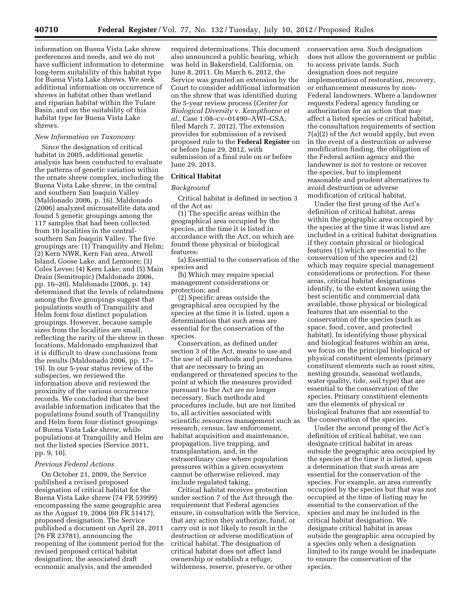information on Buena Vista Lake shrew preferences and needs, and we do not have sufficient information to determine long-term suitability of this habitat type for Buena Vista Lake shrews. We seek additional information on occurrence of shrews in habitat other than wetland and riparian habitat within the Tulare Basin, and on the suitability of this habitat type for Buena Vista Lake shrews.

#### *New Information on Taxonomy*

Since the designation of critical habitat in 2005, additional genetic analysis has been conducted to evaluate the patterns of genetic variation within the ornate shrew complex, including the Buena Vista Lake shrew, in the central and southern San Joaquin Valley (Maldonado 2006, p. 16). Maldonado (2006) analyzed microsatellite data and found 5 genetic groupings among the 117 samples that had been collected from 10 localities in the centralsouthern San Joaquin Valley. The five groupings are: (1) Tranquility and Helm; (2) Kern NWR, Kern Fan area, Atwell Island, Goose Lake, and Lemoore; (3) Coles Levee; (4) Kern Lake; and (5) Main Drain (Semitropic) (Maldonado 2006, pp. 16–20). Maldonado (2006, p. 14) determined that the levels of relatedness among the five groupings suggest that populations south of Tranquility and Helm form four distinct population groupings. However, because sample sizes from the localities are small, reflecting the rarity of the shrew in these locations, Maldonado emphasized that it is difficult to draw conclusions from the results (Maldonado 2006, pp. 17– 19). In our 5-year status review of the subspecies, we reviewed the information above and reviewed the proximity of the various occurrence records. We concluded that the best available information indicates that the populations found south of Tranquility and Helm form four distinct groupings of Buena Vista Lake shrew, while populations at Tranquility and Helm are not the listed species (Service 2011, pp. 9, 10).

# *Previous Federal Actions*

On October 21, 2009, the Service published a revised proposed designation of critical habitat for the Buena Vista Lake shrew (74 FR 53999) encompassing the same geographic area as the August 19, 2004 (69 FR 51417), proposed designation. The Service published a document on April 28, 2011 (76 FR 23781), announcing the reopening of the comment period for the revised proposed critical habitat designation, the associated draft economic analysis, and the amended

required determinations. This document also announced a public hearing, which was held in Bakersfield, California, on June 8, 2011. On March 6, 2012, the Service was granted an extension by the Court to consider additional information on the shrew that was identified during the 5-year review process (*Center for Biological Diversity* v. *Kempthorne et al.,* Case 1:08–cv–01490–AWI–GSA, filed March 7, 2012). The extension provides for submission of a revised proposed rule to the **Federal Register** on or before June 29, 2012, with submission of a final rule on or before June 29, 2013.

# **Critical Habitat**

# *Background*

Critical habitat is defined in section 3 of the Act as:

(1) The specific areas within the geographical area occupied by the species, at the time it is listed in accordance with the Act, on which are found those physical or biological features:

(a) Essential to the conservation of the species and

(b) Which may require special management considerations or protection; and

(2) Specific areas outside the geographical area occupied by the species at the time it is listed, upon a determination that such areas are essential for the conservation of the species.

Conservation, as defined under section 3 of the Act, means to use and the use of all methods and procedures that are necessary to bring an endangered or threatened species to the point at which the measures provided pursuant to the Act are no longer necessary. Such methods and procedures include, but are not limited to, all activities associated with scientific resources management such as research, census, law enforcement, habitat acquisition and maintenance, propagation, live trapping, and transplantation, and, in the extraordinary case where population pressures within a given ecosystem cannot be otherwise relieved, may include regulated taking.

Critical habitat receives protection under section 7 of the Act through the requirement that Federal agencies ensure, in consultation with the Service, that any action they authorize, fund, or carry out is not likely to result in the destruction or adverse modification of critical habitat. The designation of critical habitat does not affect land ownership or establish a refuge, wilderness, reserve, preserve, or other

conservation area. Such designation does not allow the government or public to access private lands. Such designation does not require implementation of restoration, recovery, or enhancement measures by non-Federal landowners. Where a landowner requests Federal agency funding or authorization for an action that may affect a listed species or critical habitat, the consultation requirements of section 7(a)(2) of the Act would apply, but even in the event of a destruction or adverse modification finding, the obligation of the Federal action agency and the landowner is not to restore or recover the species, but to implement reasonable and prudent alternatives to avoid destruction or adverse modification of critical habitat.

Under the first prong of the Act's definition of critical habitat, areas within the geographic area occupied by the species at the time it was listed are included in a critical habitat designation if they contain physical or biological features (1) which are essential to the conservation of the species and (2) which may require special management considerations or protection. For these areas, critical habitat designations identify, to the extent known using the best scientific and commercial data available, those physical or biological features that are essential to the conservation of the species (such as space, food, cover, and protected habitat). In identifying those physical and biological features within an area, we focus on the principal biological or physical constituent elements (primary constituent elements such as roost sites, nesting grounds, seasonal wetlands, water quality, tide, soil type) that are essential to the conservation of the species. Primary constituent elements are the elements of physical or biological features that are essential to the conservation of the species.

Under the second prong of the Act's definition of critical habitat, we can designate critical habitat in areas outside the geographic area occupied by the species at the time it is listed, upon a determination that such areas are essential for the conservation of the species. For example, an area currently occupied by the species but that was not occupied at the time of listing may be essential to the conservation of the species and may be included in the critical habitat designation. We designate critical habitat in areas outside the geographic area occupied by a species only when a designation limited to its range would be inadequate to ensure the conservation of the species.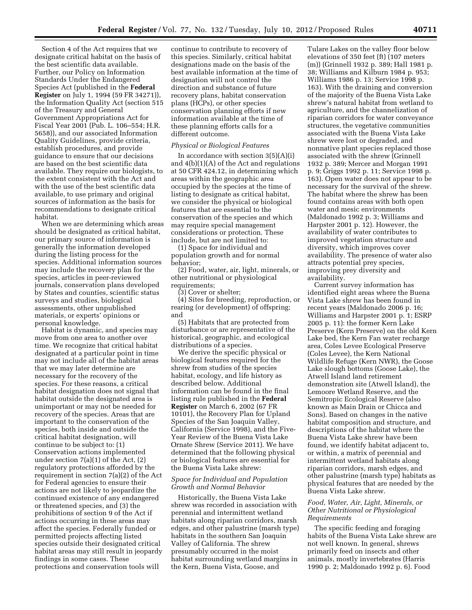Section 4 of the Act requires that we designate critical habitat on the basis of the best scientific data available. Further, our Policy on Information Standards Under the Endangered Species Act (published in the **Federal Register** on July 1, 1994 (59 FR 34271)), the Information Quality Act (section 515 of the Treasury and General Government Appropriations Act for Fiscal Year 2001 (Pub. L. 106–554; H.R. 5658)), and our associated Information Quality Guidelines, provide criteria, establish procedures, and provide guidance to ensure that our decisions are based on the best scientific data available. They require our biologists, to the extent consistent with the Act and with the use of the best scientific data available, to use primary and original sources of information as the basis for recommendations to designate critical habitat.

When we are determining which areas should be designated as critical habitat, our primary source of information is generally the information developed during the listing process for the species. Additional information sources may include the recovery plan for the species, articles in peer-reviewed journals, conservation plans developed by States and counties, scientific status surveys and studies, biological assessments, other unpublished materials, or experts' opinions or personal knowledge.

Habitat is dynamic, and species may move from one area to another over time. We recognize that critical habitat designated at a particular point in time may not include all of the habitat areas that we may later determine are necessary for the recovery of the species. For these reasons, a critical habitat designation does not signal that habitat outside the designated area is unimportant or may not be needed for recovery of the species. Areas that are important to the conservation of the species, both inside and outside the critical habitat designation, will continue to be subject to: (1) Conservation actions implemented under section 7(a)(1) of the Act, (2) regulatory protections afforded by the requirement in section 7(a)(2) of the Act for Federal agencies to ensure their actions are not likely to jeopardize the continued existence of any endangered or threatened species, and (3) the prohibitions of section 9 of the Act if actions occurring in these areas may affect the species. Federally funded or permitted projects affecting listed species outside their designated critical habitat areas may still result in jeopardy findings in some cases. These protections and conservation tools will

continue to contribute to recovery of this species. Similarly, critical habitat designations made on the basis of the best available information at the time of designation will not control the direction and substance of future recovery plans, habitat conservation plans (HCPs), or other species conservation planning efforts if new information available at the time of these planning efforts calls for a different outcome.

#### *Physical or Biological Features*

In accordance with section  $3(5)(A)(i)$ and 4(b)(1)(A) of the Act and regulations at 50 CFR 424.12, in determining which areas within the geographic area occupied by the species at the time of listing to designate as critical habitat, we consider the physical or biological features that are essential to the conservation of the species and which may require special management considerations or protection. These include, but are not limited to:

(1) Space for individual and population growth and for normal behavior;

(2) Food, water, air, light, minerals, or other nutritional or physiological requirements:

(3) Cover or shelter;

(4) Sites for breeding, reproduction, or rearing (or development) of offspring; and

(5) Habitats that are protected from disturbance or are representative of the historical, geographic, and ecological distributions of a species.

We derive the specific physical or biological features required for the shrew from studies of the species habitat, ecology, and life history as described below. Additional information can be found in the final listing rule published in the **Federal Register** on March 6, 2002 (67 FR 10101), the Recovery Plan for Upland Species of the San Joaquin Valley, California (Service 1998), and the Five-Year Review of the Buena Vista Lake Ornate Shrew (Service 2011). We have determined that the following physical or biological features are essential for the Buena Vista Lake shrew:

# *Space for Individual and Population Growth and Normal Behavior*

Historically, the Buena Vista Lake shrew was recorded in association with perennial and intermittent wetland habitats along riparian corridors, marsh edges, and other palustrine (marsh type) habitats in the southern San Joaquin Valley of California. The shrew presumably occurred in the moist habitat surrounding wetland margins in the Kern, Buena Vista, Goose, and

Tulare Lakes on the valley floor below elevations of 350 feet (ft) (107 meters (m)) (Grinnell 1932 p. 389; Hall 1981 p. 38; Williams and Kilburn 1984 p. 953; Williams 1986 p. 13; Service 1998 p. 163). With the draining and conversion of the majority of the Buena Vista Lake shrew's natural habitat from wetland to agriculture, and the channelization of riparian corridors for water conveyance structures, the vegetative communities associated with the Buena Vista Lake shrew were lost or degraded, and nonnative plant species replaced those associated with the shrew (Grinnell 1932 p. 389; Mercer and Morgan 1991 p. 9; Griggs 1992 p. 11; Service 1998 p. 163). Open water does not appear to be necessary for the survival of the shrew. The habitat where the shrew has been found contains areas with both open water and mesic environments (Maldonado 1992 p. 3; Williams and Harpster 2001 p. 12). However, the availability of water contributes to improved vegetation structure and diversity, which improves cover availability. The presence of water also attracts potential prey species, improving prey diversity and availability.

Current survey information has identified eight areas where the Buena Vista Lake shrew has been found in recent years (Maldonado 2006 p. 16; Williams and Harpster 2001 p. 1; ESRP 2005 p. 11): the former Kern Lake Preserve (Kern Preserve) on the old Kern Lake bed, the Kern Fan water recharge area, Coles Levee Ecological Preserve (Coles Levee), the Kern National Wildlife Refuge (Kern NWR), the Goose Lake slough bottoms (Goose Lake), the Atwell Island land retirement demonstration site (Atwell Island), the Lemoore Wetland Reserve, and the Semitropic Ecological Reserve (also known as Main Drain or Chicca and Sons). Based on changes in the native habitat composition and structure, and descriptions of the habitat where the Buena Vista Lake shrew have been found, we identify habitat adjacent to, or within, a matrix of perennial and intermittent wetland habitats along riparian corridors, marsh edges, and other palustrine (marsh type) habitats as physical features that are needed by the Buena Vista Lake shrew.

# *Food, Water, Air, Light, Minerals, or Other Nutritional or Physiological Requirements*

The specific feeding and foraging habits of the Buena Vista Lake shrew are not well known. In general, shrews primarily feed on insects and other animals, mostly invertebrates (Harris 1990 p. 2; Maldonado 1992 p. 6). Food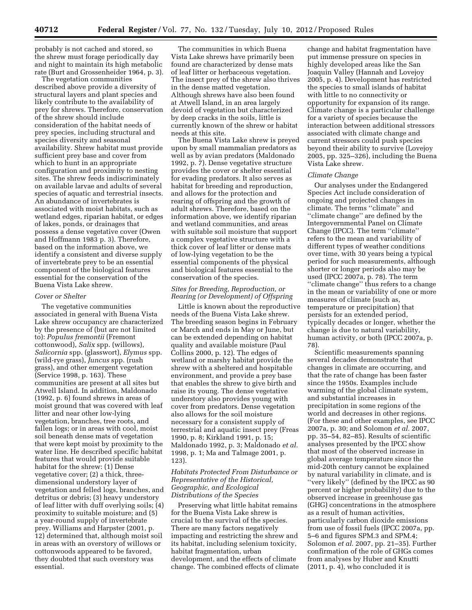probably is not cached and stored, so the shrew must forage periodically day and night to maintain its high metabolic rate (Burt and Grossenheider 1964, p. 3).

The vegetation communities described above provide a diversity of structural layers and plant species and likely contribute to the availability of prey for shrews. Therefore, conservation of the shrew should include consideration of the habitat needs of prey species, including structural and species diversity and seasonal availability. Shrew habitat must provide sufficient prey base and cover from which to hunt in an appropriate configuration and proximity to nesting sites. The shrew feeds indiscriminately on available larvae and adults of several species of aquatic and terrestrial insects. An abundance of invertebrates is associated with moist habitats, such as wetland edges, riparian habitat, or edges of lakes, ponds, or drainages that possess a dense vegetative cover (Owen and Hoffmann 1983 p. 3). Therefore, based on the information above, we identify a consistent and diverse supply of invertebrate prey to be an essential component of the biological features essential for the conservation of the Buena Vista Lake shrew.

#### *Cover or Shelter*

The vegetative communities associated in general with Buena Vista Lake shrew occupancy are characterized by the presence of (but are not limited to): *Populus fremontii* (Fremont cottonwood), *Salix* spp. (willows), *Salicornia* spp. (glasswort), *Elymus* spp. (wild-rye grass), *Juncus* spp. (rush grass), and other emergent vegetation (Service 1998, p. 163). These communities are present at all sites but Atwell Island. In addition, Maldonado (1992, p. 6) found shrews in areas of moist ground that was covered with leaf litter and near other low-lying vegetation, branches, tree roots, and fallen logs; or in areas with cool, moist soil beneath dense mats of vegetation that were kept moist by proximity to the water line. He described specific habitat features that would provide suitable habitat for the shrew: (1) Dense vegetative cover; (2) a thick, threedimensional understory layer of vegetation and felled logs, branches, and detritus or debris; (3) heavy understory of leaf litter with duff overlying soils; (4) proximity to suitable moisture; and (5) a year-round supply of invertebrate prey. Williams and Harpster (2001, p. 12) determined that, although moist soil in areas with an overstory of willows or cottonwoods appeared to be favored, they doubted that such overstory was essential.

The communities in which Buena Vista Lake shrews have primarily been found are characterized by dense mats of leaf litter or herbaceous vegetation. The insect prey of the shrew also thrives in the dense matted vegetation. Although shrews have also been found at Atwell Island, in an area largely devoid of vegetation but characterized by deep cracks in the soils, little is currently known of the shrew or habitat needs at this site.

The Buena Vista Lake shrew is preyed upon by small mammalian predators as well as by avian predators (Maldonado 1992, p. 7). Dense vegetative structure provides the cover or shelter essential for evading predators. It also serves as habitat for breeding and reproduction, and allows for the protection and rearing of offspring and the growth of adult shrews. Therefore, based on the information above, we identify riparian and wetland communities, and areas with suitable soil moisture that support a complex vegetative structure with a thick cover of leaf litter or dense mats of low-lying vegetation to be the essential components of the physical and biological features essential to the conservation of the species.

# *Sites for Breeding, Reproduction, or Rearing (or Development) of Offspring*

Little is known about the reproductive needs of the Buena Vista Lake shrew. The breeding season begins in February or March and ends in May or June, but can be extended depending on habitat quality and available moisture (Paul Collins 2000, p. 12). The edges of wetland or marshy habitat provide the shrew with a sheltered and hospitable environment, and provide a prey base that enables the shrew to give birth and raise its young. The dense vegetative understory also provides young with cover from predators. Dense vegetation also allows for the soil moisture necessary for a consistent supply of terrestrial and aquatic insect prey (Freas 1990, p. 8; Kirkland 1991, p. 15; Maldonado 1992, p. 3; Maldonado *et al.*  1998, p. 1; Ma and Talmage 2001, p. 123).

# *Habitats Protected From Disturbance or Representative of the Historical, Geographic, and Ecological Distributions of the Species*

Preserving what little habitat remains for the Buena Vista Lake shrew is crucial to the survival of the species. There are many factors negatively impacting and restricting the shrew and its habitat, including selenium toxicity, habitat fragmentation, urban development, and the effects of climate change. The combined effects of climate

change and habitat fragmentation have put immense pressure on species in highly developed areas like the San Joaquin Valley (Hannah and Lovejoy 2005, p. 4). Development has restricted the species to small islands of habitat with little to no connectivity or opportunity for expansion of its range. Climate change is a particular challenge for a variety of species because the interaction between additional stressors associated with climate change and current stressors could push species beyond their ability to survive (Lovejoy 2005, pp. 325–326), including the Buena Vista Lake shrew.

#### *Climate Change*

Our analyses under the Endangered Species Act include consideration of ongoing and projected changes in climate. The terms ''climate'' and ''climate change'' are defined by the Intergovernmental Panel on Climate Change (IPCC). The term ''climate'' refers to the mean and variability of different types of weather conditions over time, with 30 years being a typical period for such measurements, although shorter or longer periods also may be used (IPCC 2007a, p. 78). The term ''climate change'' thus refers to a change in the mean or variability of one or more measures of climate (such as, temperature or precipitation) that persists for an extended period, typically decades or longer, whether the change is due to natural variability, human activity, or both (IPCC 2007a, p. 78).

Scientific measurements spanning several decades demonstrate that changes in climate are occurring, and that the rate of change has been faster since the 1950s. Examples include warming of the global climate system, and substantial increases in precipitation in some regions of the world and decreases in other regions. (For these and other examples, see IPCC 2007a, p. 30; and Solomon *et al.* 2007, pp. 35–54, 82–85). Results of scientific analyses presented by the IPCC show that most of the observed increase in global average temperature since the mid-20th century cannot be explained by natural variability in climate, and is ''very likely'' (defined by the IPCC as 90 percent or higher probability) due to the observed increase in greenhouse gas (GHG) concentrations in the atmosphere as a result of human activities, particularly carbon dioxide emissions from use of fossil fuels (IPCC 2007a, pp. 5–6 and figures SPM.3 and SPM.4; Solomon *et al.* 2007, pp. 21–35). Further confirmation of the role of GHGs comes from analyses by Huber and Knutti (2011, p. 4), who concluded it is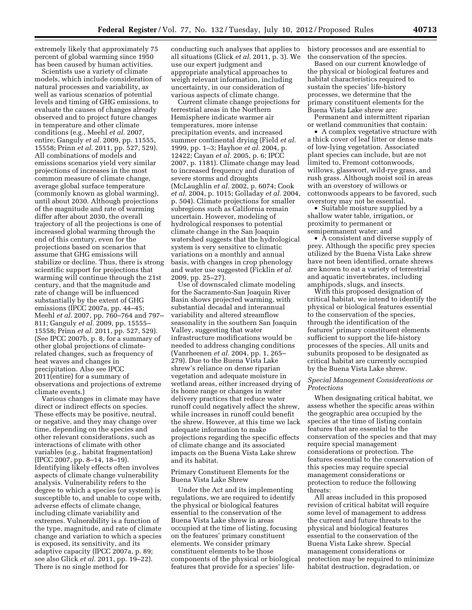extremely likely that approximately 75 percent of global warming since 1950 has been caused by human activities.

Scientists use a variety of climate models, which include consideration of natural processes and variability, as well as various scenarios of potential levels and timing of GHG emissions, to evaluate the causes of changes already observed and to project future changes in temperature and other climate conditions (e.g., Meehl *et al.* 2007, entire; Ganguly *et al.* 2009, pp. 11555, 15558; Prinn *et al.* 2011, pp. 527, 529). All combinations of models and emissions scenarios yield very similar projections of increases in the most common measure of climate change, average global surface temperature (commonly known as global warming), until about 2030. Although projections of the magnitude and rate of warming differ after about 2030, the overall trajectory of all the projections is one of increased global warming through the end of this century, even for the projections based on scenarios that assume that GHG emissions will stabilize or decline. Thus, there is strong scientific support for projections that warming will continue through the 21st century, and that the magnitude and rate of change will be influenced substantially by the extent of GHG emissions (IPCC 2007a, pp. 44–45; Meehl *et al.* 2007, pp. 760–764 and 797– 811; Ganguly *et al.* 2009, pp. 15555– 15558; Prinn *et al.* 2011, pp. 527, 529). (See IPCC 2007b, p. 8, for a summary of other global projections of climaterelated changes, such as frequency of heat waves and changes in precipitation. Also see IPCC 2011(entire) for a summary of observations and projections of extreme climate events.)

Various changes in climate may have direct or indirect effects on species. These effects may be positive, neutral, or negative, and they may change over time, depending on the species and other relevant considerations, such as interactions of climate with other variables (e.g., habitat fragmentation) (IPCC 2007, pp. 8–14, 18–19). Identifying likely effects often involves aspects of climate change vulnerability analysis. Vulnerability refers to the degree to which a species (or system) is susceptible to, and unable to cope with, adverse effects of climate change, including climate variability and extremes. Vulnerability is a function of the type, magnitude, and rate of climate change and variation to which a species is exposed, its sensitivity, and its adaptive capacity (IPCC 2007a, p. 89; see also Glick *et al.* 2011, pp. 19–22). There is no single method for

conducting such analyses that applies to all situations (Glick *et al.* 2011, p. 3). We use our expert judgment and appropriate analytical approaches to weigh relevant information, including uncertainty, in our consideration of various aspects of climate change.

Current climate change projections for terrestrial areas in the Northern Hemisphere indicate warmer air temperatures, more intense precipitation events, and increased summer continental drying (Field *et al.*  1999, pp. 1–3; Hayhoe *et al.* 2004, p. 12422; Cayan *et al.* 2005, p. 6; IPCC 2007, p. 1181). Climate change may lead to increased frequency and duration of severe storms and droughts (McLaughlin *et al.* 2002, p. 6074; Cook *et al.* 2004, p. 1015; Golladay *et al.* 2004, p. 504). Climate projections for smaller subregions such as California remain uncertain. However, modeling of hydrological responses to potential climate change in the San Joaquin watershed suggests that the hydrological system is very sensitive to climatic variations on a monthly and annual basis, with changes in crop phenology and water use suggested (Ficklin *et al.*  2009, pp. 25–27).

Use of downscaled climate modeling for the Sacramento-San Joaquin River Basin shows projected warming, with substantial decadal and interannual variability and altered streamflow seasonality in the southern San Joaquin Valley, suggesting that water infrastructure modifications would be needed to address changing conditions (Vanrheenen *et al.* 2004, pp. 1, 265– 279). Due to the Buena Vista Lake shrew's reliance on dense riparian vegetation and adequate moisture in wetland areas, either increased drying of its home range or changes in water delivery practices that reduce water runoff could negatively affect the shrew, while increases in runoff could benefit the shrew. However, at this time we lack adequate information to make projections regarding the specific effects of climate change and its associated impacts on the Buena Vista Lake shrew and its habitat.

Primary Constituent Elements for the Buena Vista Lake Shrew

Under the Act and its implementing regulations, we are required to identify the physical or biological features essential to the conservation of the Buena Vista Lake shrew in areas occupied at the time of listing, focusing on the features' primary constituent elements. We consider primary constituent elements to be those components of the physical or biological features that provide for a species' lifehistory processes and are essential to the conservation of the species.

Based on our current knowledge of the physical or biological features and habitat characteristics required to sustain the species' life-history processes, we determine that the primary constituent elements for the Buena Vista Lake shrew are:

Permanent and intermittent riparian or wetland communities that contain:

• A complex vegetative structure with a thick cover of leaf litter or dense mats of low-lying vegetation. Associated plant species can include, but are not limited to, Fremont cottonwoods, willows, glasswort, wild-rye grass, and rush grass. Although moist soil in areas with an overstory of willows or cottonwoods appears to be favored, such overstory may not be essential.

• Suitable moisture supplied by a shallow water table, irrigation, or proximity to permanent or semipermanent water; and

• A consistent and diverse supply of prey. Although the specific prey species utilized by the Buena Vista Lake shrew have not been identified, ornate shrews are known to eat a variety of terrestrial and aquatic invertebrates, including amphipods, slugs, and insects.

With this proposed designation of critical habitat, we intend to identify the physical or biological features essential to the conservation of the species, through the identification of the features' primary constituent elements sufficient to support the life-history processes of the species. All units and subunits proposed to be designated as critical habitat are currently occupied by the Buena Vista Lake shrew.

# *Special Management Considerations or Protections*

When designating critical habitat, we assess whether the specific areas within the geographic area occupied by the species at the time of listing contain features that are essential to the conservation of the species and that may require special management considerations or protection. The features essential to the conservation of this species may require special management considerations or protection to reduce the following threats:

All areas included in this proposed revision of critical habitat will require some level of management to address the current and future threats to the physical and biological features essential to the conservation of the Buena Vista Lake shrew. Special management considerations or protection may be required to minimize habitat destruction, degradation, or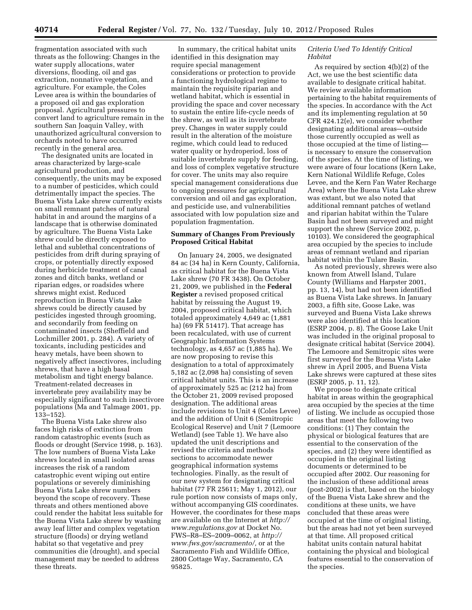fragmentation associated with such threats as the following: Changes in the water supply allocations, water diversions, flooding, oil and gas extraction, nonnative vegetation, and agriculture. For example, the Coles Levee area is within the boundaries of a proposed oil and gas exploration proposal. Agricultural pressures to convert land to agriculture remain in the southern San Joaquin Valley, with unauthorized agricultural conversion to orchards noted to have occurred recently in the general area.

The designated units are located in areas characterized by large-scale agricultural production, and consequently, the units may be exposed to a number of pesticides, which could detrimentally impact the species. The Buena Vista Lake shrew currently exists on small remnant patches of natural habitat in and around the margins of a landscape that is otherwise dominated by agriculture. The Buena Vista Lake shrew could be directly exposed to lethal and sublethal concentrations of pesticides from drift during spraying of crops, or potentially directly exposed during herbicide treatment of canal zones and ditch banks, wetland or riparian edges, or roadsides where shrews might exist. Reduced reproduction in Buena Vista Lake shrews could be directly caused by pesticides ingested through grooming, and secondarily from feeding on contaminated insects (Sheffield and Lochmiller 2001, p. 284). A variety of toxicants, including pesticides and heavy metals, have been shown to negatively affect insectivores, including shrews, that have a high basal metabolism and tight energy balance. Treatment-related decreases in invertebrate prey availability may be especially significant to such insectivore populations (Ma and Talmage 2001, pp. 133–152).

The Buena Vista Lake shrew also faces high risks of extinction from random catastrophic events (such as floods or drought (Service 1998, p. 163). The low numbers of Buena Vista Lake shrews located in small isolated areas increases the risk of a random catastrophic event wiping out entire populations or severely diminishing Buena Vista Lake shrew numbers beyond the scope of recovery. These threats and others mentioned above could render the habitat less suitable for the Buena Vista Lake shrew by washing away leaf litter and complex vegetation structure (floods) or drying wetland habitat so that vegetative and prey communities die (drought), and special management may be needed to address these threats.

In summary, the critical habitat units identified in this designation may require special management considerations or protection to provide a functioning hydrological regime to maintain the requisite riparian and wetland habitat, which is essential in providing the space and cover necessary to sustain the entire life-cycle needs of the shrew, as well as its invertebrate prey. Changes in water supply could result in the alteration of the moisture regime, which could lead to reduced water quality or hydroperiod, loss of suitable invertebrate supply for feeding, and loss of complex vegetative structure for cover. The units may also require special management considerations due to ongoing pressures for agricultural conversion and oil and gas exploration, and pesticide use, and vulnerabilities associated with low population size and population fragmentation.

# **Summary of Changes From Previously Proposed Critical Habitat**

On January 24, 2005, we designated 84 ac (34 ha) in Kern County, California, as critical habitat for the Buena Vista Lake shrew (70 FR 3438). On October 21, 2009, we published in the **Federal Register** a revised proposed critical habitat by reissuing the August 19, 2004, proposed critical habitat, which totaled approximately 4,649 ac (1,881 ha) (69 FR 51417). That acreage has been recalculated, with use of current Geographic Information Systems technology, as 4,657 ac (1,885 ha). We are now proposing to revise this designation to a total of approximately 5,182 ac (2,098 ha) consisting of seven critical habitat units. This is an increase of approximately 525 ac (212 ha) from the October 21, 2009 revised proposed designation. The additional areas include revisions to Unit 4 (Coles Levee) and the addition of Unit 6 (Semitropic Ecological Reserve) and Unit 7 (Lemoore Wetland) (see Table 1). We have also updated the unit descriptions and revised the criteria and methods sections to accommodate newer geographical information systems technologies. Finally, as the result of our new system for designating critical habitat (77 FR 25611; May 1, 2012), our rule portion now consists of maps only, without accompanying GIS coordinates. However, the coordinates for these maps are available on the Internet at *[http://](http://www.regulations.gov) [www.regulations.gov](http://www.regulations.gov)* at Docket No. FWS–R8–ES–2009–0062, at *[http://](http://www.fws.gov/sacramento/) [www.fws.gov/sacramento/,](http://www.fws.gov/sacramento/)* or at the Sacramento Fish and Wildlife Office, 2800 Cottage Way, Sacramento, CA 95825.

# *Criteria Used To Identify Critical Habitat*

As required by section 4(b)(2) of the Act, we use the best scientific data available to designate critical habitat. We review available information pertaining to the habitat requirements of the species. In accordance with the Act and its implementing regulation at 50 CFR 424.12(e), we consider whether designating additional areas—outside those currently occupied as well as those occupied at the time of listing is necessary to ensure the conservation of the species. At the time of listing, we were aware of four locations (Kern Lake, Kern National Wildlife Refuge, Coles Levee, and the Kern Fan Water Recharge Area) where the Buena Vista Lake shrew was extant, but we also noted that additional remnant patches of wetland and riparian habitat within the Tulare Basin had not been surveyed and might support the shrew (Service 2002, p. 10103). We considered the geographical area occupied by the species to include areas of remnant wetland and riparian habitat within the Tulare Basin.

As noted previously, shrews were also known from Atwell Island, Tulare County (Williams and Harpster 2001, pp. 13, 14), but had not been identified as Buena Vista Lake shrews. In January 2003, a fifth site, Goose Lake, was surveyed and Buena Vista Lake shrews were also identified at this location (ESRP 2004, p. 8). The Goose Lake Unit was included in the original proposal to designate critical habitat (Service 2004). The Lemoore and Semitropic sites were first surveyed for the Buena Vista Lake shrew in April 2005, and Buena Vista Lake shrews were captured at these sites (ESRP 2005, p. 11, 12).

We propose to designate critical habitat in areas within the geographical area occupied by the species at the time of listing. We include as occupied those areas that meet the following two conditions: (1) They contain the physical or biological features that are essential to the conservation of the species, and (2) they were identified as occupied in the original listing documents or determined to be occupied after 2002. Our reasoning for the inclusion of these additional areas (post-2002) is that, based on the biology of the Buena Vista Lake shrew and the conditions at these units, we have concluded that these areas were occupied at the time of original listing, but the areas had not yet been surveyed at that time. All proposed critical habitat units contain natural habitat containing the physical and biological features essential to the conservation of the species.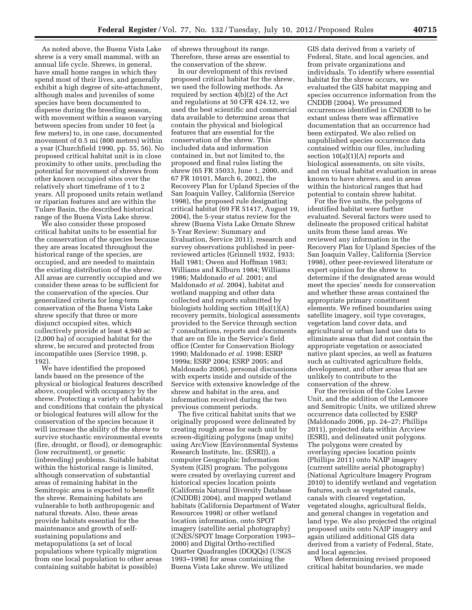As noted above, the Buena Vista Lake shrew is a very small mammal, with an annual life cycle. Shrews, in general, have small home ranges in which they spend most of their lives, and generally exhibit a high degree of site-attachment, although males and juveniles of some species have been documented to disperse during the breeding season, with movement within a season varying between species from under 10 feet (a few meters) to, in one case, documented movement of 0.5 mi (800 meters) within a year (Churchfield 1990, pp. 55, 56). No proposed critical habitat unit is in close proximity to other units, precluding the potential for movement of shrews from other known occupied sites over the relatively short timeframe of 1 to 2 years. All proposed units retain wetland or riparian features and are within the Tulare Basin, the described historical range of the Buena Vista Lake shrew.

We also consider these proposed critical habitat units to be essential for the conservation of the species because they are areas located throughout the historical range of the species, are occupied, and are needed to maintain the existing distribution of the shrew. All areas are currently occupied and we consider these areas to be sufficient for the conservation of the species. Our generalized criteria for long-term conservation of the Buena Vista Lake shrew specify that three or more disjunct occupied sites, which collectively provide at least 4,940 ac (2,000 ha) of occupied habitat for the shrew, be secured and protected from incompatible uses (Service 1998, p. 192).

We have identified the proposed lands based on the presence of the physical or biological features described above, coupled with occupancy by the shrew. Protecting a variety of habitats and conditions that contain the physical or biological features will allow for the conservation of the species because it will increase the ability of the shrew to survive stochastic environmental events (fire, drought, or flood), or demographic (low recruitment), or genetic (inbreeding) problems. Suitable habitat within the historical range is limited, although conservation of substantial areas of remaining habitat in the Semitropic area is expected to benefit the shrew. Remaining habitats are vulnerable to both anthropogenic and natural threats. Also, these areas provide habitats essential for the maintenance and growth of selfsustaining populations and metapopulations (a set of local populations where typically migration from one local population to other areas containing suitable habitat is possible)

of shrews throughout its range. Therefore, these areas are essential to the conservation of the shrew.

In our development of this revised proposed critical habitat for the shrew, we used the following methods. As required by section 4(b)(2) of the Act and regulations at 50 CFR 424.12, we used the best scientific and commercial data available to determine areas that contain the physical and biological features that are essential for the conservation of the shrew. This included data and information contained in, but not limited to, the proposed and final rules listing the shrew (65 FR 35033, June 1, 2000, and 67 FR 10101, March 6, 2002), the Recovery Plan for Upland Species of the San Joaquin Valley, California (Service 1998), the proposed rule designating critical habitat (69 FR 51417, August 19, 2004), the 5-year status review for the shrew (Buena Vista Lake Ornate Shrew 5-Year Review: Summary and Evaluation, Service 2011), research and survey observations published in peerreviewed articles (Grinnell 1932, 1933; Hall 1981; Owen and Hoffman 1983; Williams and Kilburn 1984; Williams 1986; Maldonado *et al.* 2001; and Maldonado *et al.* 2004), habitat and wetland mapping and other data collected and reports submitted by biologists holding section 10(a)(1)(A) recovery permits, biological assessments provided to the Service through section 7 consultations, reports and documents that are on file in the Service's field office (Center for Conservation Biology 1990; Maldonado *et al.* 1998; ESRP 1999a; ESRP 2004; ESRP 2005; and Maldonado 2006), personal discussions with experts inside and outside of the Service with extensive knowledge of the shrew and habitat in the area, and information received during the two previous comment periods.

The five critical habitat units that we originally proposed were delineated by creating rough areas for each unit by screen-digitizing polygons (map units) using ArcView (Environmental Systems Research Institute, Inc. (ESRI)), a computer Geographic Information System (GIS) program. The polygons were created by overlaying current and historical species location points (California Natural Diversity Database (CNDDB) 2004), and mapped wetland habitats (California Department of Water Resources 1998) or other wetland location information, onto SPOT imagery (satellite aerial photography) (CNES/SPOT Image Corporation 1993– 2000) and Digital Ortho-rectified Quarter Quadrangles (DOQQs) (USGS 1993–1998) for areas containing the Buena Vista Lake shrew. We utilized

GIS data derived from a variety of Federal, State, and local agencies, and from private organizations and individuals. To identify where essential habitat for the shrew occurs, we evaluated the GIS habitat mapping and species occurrence information from the CNDDB (2004). We presumed occurrences identified in CNDDB to be extant unless there was affirmative documentation that an occurrence had been extirpated. We also relied on unpublished species occurrence data contained within our files, including section 10(a)(1)(A) reports and biological assessments, on site visits, and on visual habitat evaluation in areas known to have shrews, and in areas within the historical ranges that had potential to contain shrew habitat.

For the five units, the polygons of identified habitat were further evaluated. Several factors were used to delineate the proposed critical habitat units from these land areas. We reviewed any information in the Recovery Plan for Upland Species of the San Joaquin Valley, California (Service 1998), other peer-reviewed literature or expert opinion for the shrew to determine if the designated areas would meet the species' needs for conservation and whether these areas contained the appropriate primary constituent elements. We refined boundaries using satellite imagery, soil type coverages, vegetation land cover data, and agricultural or urban land use data to eliminate areas that did not contain the appropriate vegetation or associated native plant species, as well as features such as cultivated agriculture fields, development, and other areas that are unlikely to contribute to the conservation of the shrew.

For the revision of the Coles Levee Unit, and the addition of the Lemoore and Semitropic Units, we utilized shrew occurrence data collected by ESRP (Maldonado 2006, pp. 24–27; Phillips 2011), projected data within Arcview (ESRI), and delineated unit polygons. The polygons were created by overlaying species location points (Phillips 2011) onto NAIP imagery (current satellite aerial photography) (National Agriculture Imagery Program 2010) to identify wetland and vegetation features, such as vegetated canals, canals with cleared vegetation, vegetated sloughs, agricultural fields, and general changes in vegetation and land type. We also projected the original proposed units onto NAIP imagery and again utilized additional GIS data derived from a variety of Federal, State, and local agencies.

When determining revised proposed critical habitat boundaries, we made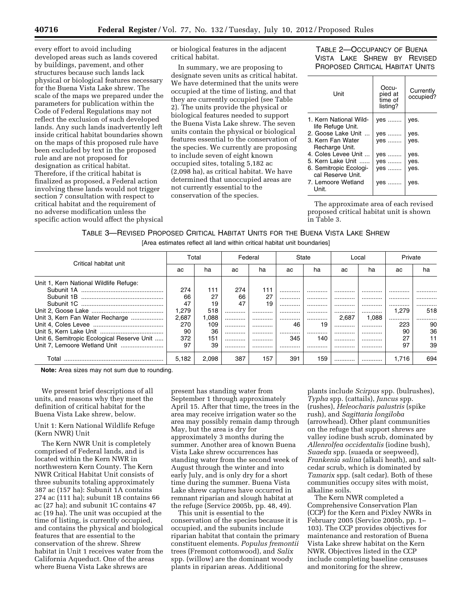every effort to avoid including developed areas such as lands covered by buildings, pavement, and other structures because such lands lack physical or biological features necessary for the Buena Vista Lake shrew. The scale of the maps we prepared under the parameters for publication within the Code of Federal Regulations may not reflect the exclusion of such developed lands. Any such lands inadvertently left inside critical habitat boundaries shown on the maps of this proposed rule have been excluded by text in the proposed rule and are not proposed for designation as critical habitat. Therefore, if the critical habitat is finalized as proposed, a Federal action involving these lands would not trigger section 7 consultation with respect to critical habitat and the requirement of no adverse modification unless the specific action would affect the physical or biological features in the adjacent critical habitat.

In summary, we are proposing to designate seven units as critical habitat. We have determined that the units were occupied at the time of listing, and that they are currently occupied (see Table 2). The units provide the physical or biological features needed to support the Buena Vista Lake shrew. The seven units contain the physical or biological features essential to the conservation of the species. We currently are proposing to include seven of eight known occupied sites, totaling 5,182 ac (2,098 ha), as critical habitat. We have determined that unoccupied areas are not currently essential to the conservation of the species.

TABLE 2—OCCUPANCY OF BUENA VISTA LAKE SHREW BY REVISED PROPOSED CRITICAL HABITAT UNITS

| Unit                                        | Occu-<br>pied at<br>time of<br>listing? | Currently<br>occupied? |
|---------------------------------------------|-----------------------------------------|------------------------|
| 1. Kern National Wild-<br>life Refuge Unit. | yes                                     | yes.                   |
| 2. Goose Lake Unit                          | yes                                     | yes.                   |
| 3. Kern Fan Water<br>Recharge Unit.         | ves                                     | ves.                   |
| 4. Coles Levee Unit                         | yes                                     | yes.                   |
| 5. Kern Lake Unit                           | ves                                     | yes.                   |
| 6. Semitropic Ecologi-<br>cal Reserve Unit. | ves                                     | ves.                   |
| 7. Lemoore Wetland<br>Unit.                 | yes                                     | ves.                   |

The approximate area of each revised proposed critical habitat unit is shown in Table 3.

| TABLE 3-REVISED PROPOSED CRITICAL HABITAT UNITS FOR THE BUENA VISTA LAKE SHREW |  |
|--------------------------------------------------------------------------------|--|
| [Area estimates reflect all land within critical habitat unit boundaries]      |  |

| Critical habitat unit                      | Total |       | Federal |     | State |     | Local |       | Private |     |
|--------------------------------------------|-------|-------|---------|-----|-------|-----|-------|-------|---------|-----|
|                                            | ac    | ha    | ac      | ha  | ac    | ha  | ac    | ha    | ac      | ha  |
| Unit 1, Kern National Wildlife Refuge:     |       |       |         |     |       |     |       |       |         |     |
|                                            | 274   | 111   | 274     | 111 | .     |     |       |       |         |     |
| Subunit 1B                                 | 66    | 27    | 66      | 27  |       |     |       |       |         |     |
|                                            | 47    | 19    | 47      | 19  |       |     |       |       |         | .   |
|                                            | .279  | 518   |         |     |       |     |       |       | 1.279   | 518 |
| Unit 3, Kern Fan Water Recharge            | 2.687 | 1.088 |         |     |       |     | 2.687 | 1.088 |         | .   |
|                                            | 270   | 109   |         |     | 46    | 19  |       |       | 223     | 90  |
|                                            | 90    | 36    |         | .   |       |     |       |       | 90      | 36  |
| Unit 6, Semitropic Ecological Reserve Unit | 372   | 151   |         |     | 345   | 140 |       |       | 27      |     |
|                                            | 97    | 39    |         |     |       |     |       |       | 97      | 39  |
| Total                                      | 5,182 | 2.098 | 387     | 157 | 391   | 159 |       |       | 1.716   | 694 |

**Note:** Area sizes may not sum due to rounding.

We present brief descriptions of all units, and reasons why they meet the definition of critical habitat for the Buena Vista Lake shrew, below.

# Unit 1: Kern National Wildlife Refuge (Kern NWR) Unit

The Kern NWR Unit is completely comprised of Federal lands, and is located within the Kern NWR in northwestern Kern County. The Kern NWR Critical Habitat Unit consists of three subunits totaling approximately 387 ac (157 ha): Subunit 1A contains 274 ac (111 ha); subunit 1B contains 66 ac (27 ha); and subunit 1C contains 47 ac (19 ha). The unit was occupied at the time of listing, is currently occupied, and contains the physical and biological features that are essential to the conservation of the shrew. Shrew habitat in Unit 1 receives water from the California Aqueduct. One of the areas where Buena Vista Lake shrews are

present has standing water from September 1 through approximately April 15. After that time, the trees in the area may receive irrigation water so the area may possibly remain damp through May, but the area is dry for approximately 3 months during the summer. Another area of known Buena Vista Lake shrew occurrences has standing water from the second week of August through the winter and into early July, and is only dry for a short time during the summer. Buena Vista Lake shrew captures have occurred in remnant riparian and slough habitat at the refuge (Service 2005b, pp. 48, 49).

This unit is essential to the conservation of the species because it is occupied, and the subunits include riparian habitat that contain the primary constituent elements. *Populus fremontii*  trees (Fremont cottonwood), and *Salix*  spp. (willow) are the dominant woody plants in riparian areas. Additional

plants include *Scirpus* spp. (bulrushes), *Typha* spp. (cattails), *Juncus* spp. (rushes), *Heleocharis palustris* (spike rush), and *Sagittaria longiloba*  (arrowhead). Other plant communities on the refuge that support shrews are valley iodine bush scrub, dominated by *Allenrolfea occidentalis* (iodine bush), *Suaeda* spp. (suaeda or seepweed), *Frankenia salina* (alkali heath), and saltcedar scrub, which is dominated by *Tamarix* spp. (salt cedar). Both of these communities occupy sites with moist, alkaline soils.

The Kern NWR completed a Comprehensive Conservation Plan (CCP) for the Kern and Pixley NWRs in February 2005 (Service 2005b, pp. 1– 103). The CCP provides objectives for maintenance and restoration of Buena Vista Lake shrew habitat on the Kern NWR. Objectives listed in the CCP include completing baseline censuses and monitoring for the shrew,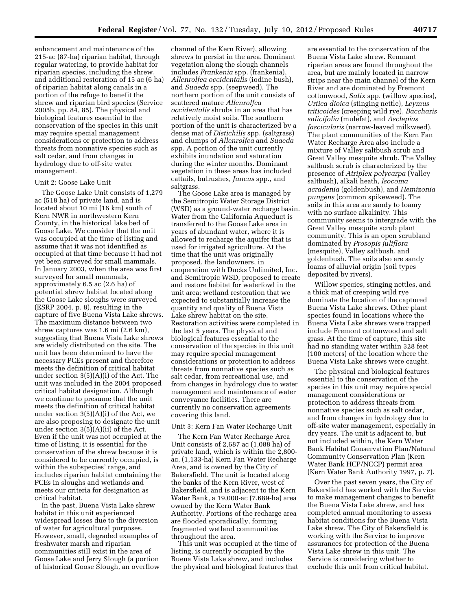enhancement and maintenance of the 215-ac (87-ha) riparian habitat, through regular watering, to provide habitat for riparian species, including the shrew, and additional restoration of 15 ac (6 ha) of riparian habitat along canals in a portion of the refuge to benefit the shrew and riparian bird species (Service 2005b, pp. 84, 85). The physical and biological features essential to the conservation of the species in this unit may require special management considerations or protection to address threats from nonnative species such as salt cedar, and from changes in hydrology due to off-site water management.

#### Unit 2: Goose Lake Unit

The Goose Lake Unit consists of 1,279 ac (518 ha) of private land, and is located about 10 mi (16 km) south of Kern NWR in northwestern Kern County, in the historical lake bed of Goose Lake. We consider that the unit was occupied at the time of listing and assume that it was not identified as occupied at that time because it had not yet been surveyed for small mammals. In January 2003, when the area was first surveyed for small mammals, approximately 6.5 ac (2.6 ha) of potential shrew habitat located along the Goose Lake sloughs were surveyed (ESRP 2004, p. 8), resulting in the capture of five Buena Vista Lake shrews. The maximum distance between two shrew captures was 1.6 mi (2.6 km), suggesting that Buena Vista Lake shrews are widely distributed on the site. The unit has been determined to have the necessary PCEs present and therefore meets the definition of critical habitat under section 3(5)(A)(i) of the Act. The unit was included in the 2004 proposed critical habitat designation. Although we continue to presume that the unit meets the definition of critical habitat under section 3(5)(A)(i) of the Act, we are also proposing to designate the unit under section 3(5)(A)(ii) of the Act. Even if the unit was not occupied at the time of listing, it is essential for the conservation of the shrew because it is considered to be currently occupied, is within the subspecies' range, and includes riparian habitat containing the PCEs in sloughs and wetlands and meets our criteria for designation as critical habitat.

In the past, Buena Vista Lake shrew habitat in this unit experienced widespread losses due to the diversion of water for agricultural purposes. However, small, degraded examples of freshwater marsh and riparian communities still exist in the area of Goose Lake and Jerry Slough (a portion of historical Goose Slough, an overflow

channel of the Kern River), allowing shrews to persist in the area. Dominant vegetation along the slough channels includes *Frankenia* spp. (frankenia), *Allenrolfea occidentalis* (iodine bush), and *Suaeda* spp. (seepweed). The northern portion of the unit consists of scattered mature *Allenrolfea occidentalis* shrubs in an area that has relatively moist soils. The southern portion of the unit is characterized by a dense mat of *Distichilis* spp. (saltgrass) and clumps of *Allenrolfea* and *Suaeda*  spp. A portion of the unit currently exhibits inundation and saturation during the winter months. Dominant vegetation in these areas has included cattails, bulrushes, *Juncus* spp., and saltgrass.

The Goose Lake area is managed by the Semitropic Water Storage District (WSD) as a ground-water recharge basin. Water from the California Aqueduct is transferred to the Goose Lake area in years of abundant water, where it is allowed to recharge the aquifer that is used for irrigated agriculture. At the time that the unit was originally proposed, the landowners, in cooperation with Ducks Unlimited, Inc. and Semitropic WSD, proposed to create and restore habitat for waterfowl in the unit area; wetland restoration that we expected to substantially increase the quantity and quality of Buena Vista Lake shrew habitat on the site. Restoration activities were completed in the last 5 years. The physical and biological features essential to the conservation of the species in this unit may require special management considerations or protection to address threats from nonnative species such as salt cedar, from recreational use, and from changes in hydrology due to water management and maintenance of water conveyance facilities. There are currently no conservation agreements covering this land.

# Unit 3: Kern Fan Water Recharge Unit

The Kern Fan Water Recharge Area Unit consists of 2,687 ac (1,088 ha) of private land, which is within the 2,800 ac, (1,133-ha) Kern Fan Water Recharge Area, and is owned by the City of Bakersfield. The unit is located along the banks of the Kern River, west of Bakersfield, and is adjacent to the Kern Water Bank, a 19,000-ac (7,689-ha) area owned by the Kern Water Bank Authority. Portions of the recharge area are flooded sporadically, forming fragmented wetland communities throughout the area.

This unit was occupied at the time of listing, is currently occupied by the Buena Vista Lake shrew, and includes the physical and biological features that

are essential to the conservation of the Buena Vista Lake shrew. Remnant riparian areas are found throughout the area, but are mainly located in narrow strips near the main channel of the Kern River and are dominated by Fremont cottonwood, *Salix* spp. (willow species), *Urtica dioica* (stinging nettle), *Leymus triticoides* (creeping wild rye), *Baccharis salicifolia* (mulefat), and *Asclepias fascicularis* (narrow-leaved milkweed). The plant communities of the Kern Fan Water Recharge Area also include a mixture of Valley saltbush scrub and Great Valley mesquite shrub. The Valley saltbush scrub is characterized by the presence of *Atriplex polycarpa* (Valley saltbush), alkali heath, *Isocoma acradenia* (goldenbush), and *Hemizonia pungens* (common spikeweed). The soils in this area are sandy to loamy with no surface alkalinity. This community seems to intergrade with the Great Valley mesquite scrub plant community. This is an open scrubland dominated by *Prosopis juliflora*  (mesquite), Valley saltbush, and goldenbush. The soils also are sandy loams of alluvial origin (soil types deposited by rivers).

Willow species, stinging nettles, and a thick mat of creeping wild rye dominate the location of the captured Buena Vista Lake shrews. Other plant species found in locations where the Buena Vista Lake shrews were trapped include Fremont cottonwood and salt grass. At the time of capture, this site had no standing water within 328 feet (100 meters) of the location where the Buena Vista Lake shrews were caught.

The physical and biological features essential to the conservation of the species in this unit may require special management considerations or protection to address threats from nonnative species such as salt cedar, and from changes in hydrology due to off-site water management, especially in dry years. The unit is adjacent to, but not included within, the Kern Water Bank Habitat Conservation Plan/Natural Community Conservation Plan (Kern Water Bank HCP/NCCP) permit area (Kern Water Bank Authority 1997, p. 7).

Over the past seven years, the City of Bakersfield has worked with the Service to make management changes to benefit the Buena Vista Lake shrew, and has completed annual monitoring to assess habitat conditions for the Buena Vista Lake shrew. The City of Bakersfield is working with the Service to improve assurances for protection of the Buena Vista Lake shrew in this unit. The Service is considering whether to exclude this unit from critical habitat.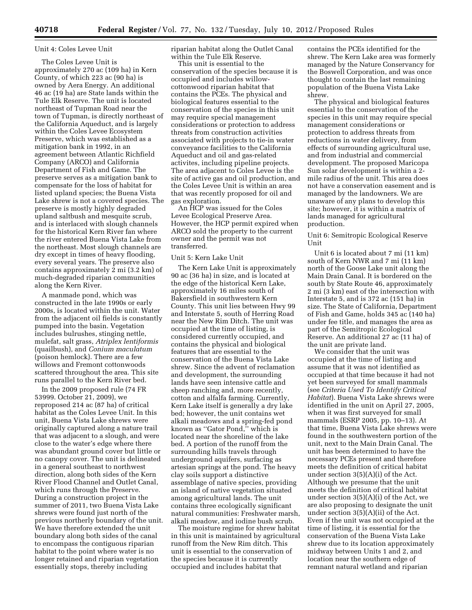#### Unit 4: Coles Levee Unit

The Coles Levee Unit is approximately 270 ac (109 ha) in Kern County, of which 223 ac (90 ha) is owned by Aera Energy. An additional 46 ac (19 ha) are State lands within the Tule Elk Reserve. The unit is located northeast of Tupman Road near the town of Tupman, is directly northeast of the California Aqueduct, and is largely within the Coles Levee Ecosystem Preserve, which was established as a mitigation bank in 1992, in an agreement between Atlantic Richfield Company (ARCO) and California Department of Fish and Game. The preserve serves as a mitigation bank to compensate for the loss of habitat for listed upland species; the Buena Vista Lake shrew is not a covered species. The preserve is mostly highly degraded upland saltbush and mesquite scrub, and is interlaced with slough channels for the historical Kern River fan where the river entered Buena Vista Lake from the northeast. Most slough channels are dry except in times of heavy flooding, every several years. The preserve also contains approximately 2 mi (3.2 km) of much-degraded riparian communities along the Kern River.

A manmade pond, which was constructed in the late 1990s or early 2000s, is located within the unit. Water from the adjacent oil fields is constantly pumped into the basin. Vegetation includes bulrushes, stinging nettle, mulefat, salt grass, *Atriplex lentiformis*  (quailbush), and *Conium maculatum*  (poison hemlock). There are a few willows and Fremont cottonwoods scattered throughout the area. This site runs parallel to the Kern River bed.

In the 2009 proposed rule (74 FR 53999. October 21, 2009), we reproposed 214 ac (87 ha) of critical habitat as the Coles Levee Unit. In this unit, Buena Vista Lake shrews were originally captured along a nature trail that was adjacent to a slough, and were close to the water's edge where there was abundant ground cover but little or no canopy cover. The unit is delineated in a general southeast to northwest direction, along both sides of the Kern River Flood Channel and Outlet Canal, which runs through the Preserve. During a construction project in the summer of 2011, two Buena Vista Lake shrews were found just north of the previous northerly boundary of the unit. We have therefore extended the unit boundary along both sides of the canal to encompass the contiguous riparian habitat to the point where water is no longer retained and riparian vegetation essentially stops, thereby including

riparian habitat along the Outlet Canal within the Tule Elk Reserve.

This unit is essential to the conservation of the species because it is occupied and includes willowcottonwood riparian habitat that contains the PCEs. The physical and biological features essential to the conservation of the species in this unit may require special management considerations or protection to address threats from construction activities associated with projects to tie-in water conveyance facilities to the California Aqueduct and oil and gas-related activites, including pipeline projects. The area adjacent to Coles Levee is the site of active gas and oil production, and the Coles Levee Unit is within an area that was recently proposed for oil and gas exploration.

An HCP was issued for the Coles Levee Ecological Preserve Area. However, the HCP permit expired when ARCO sold the property to the current owner and the permit was not transferred.

# Unit 5: Kern Lake Unit

The Kern Lake Unit is approximately 90 ac (36 ha) in size, and is located at the edge of the historical Kern Lake, approximately 16 miles south of Bakersfield in southwestern Kern County. This unit lies between Hwy 99 and Interstate 5, south of Herring Road near the New Rim Ditch. The unit was occupied at the time of listing, is considered currently occupied, and contains the physical and biological features that are essential to the conservation of the Buena Vista Lake shrew. Since the advent of reclamation and development, the surrounding lands have seen intensive cattle and sheep ranching and, more recently, cotton and alfalfa farming. Currently, Kern Lake itself is generally a dry lake bed; however, the unit contains wet alkali meadows and a spring-fed pond known as ''Gator Pond,'' which is located near the shoreline of the lake bed. A portion of the runoff from the surrounding hills travels through underground aquifers, surfacing as artesian springs at the pond. The heavy clay soils support a distinctive assemblage of native species, providing an island of native vegetation situated among agricultural lands. The unit contains three ecologically significant natural communities: Freshwater marsh, alkali meadow, and iodine bush scrub.

The moisture regime for shrew habitat in this unit is maintained by agricultural runoff from the New Rim ditch. This unit is essential to the conservation of the species because it is currently occupied and includes habitat that

contains the PCEs identified for the shrew. The Kern Lake area was formerly managed by the Nature Conservancy for the Boswell Corporation, and was once thought to contain the last remaining population of the Buena Vista Lake shrew.

The physical and biological features essential to the conservation of the species in this unit may require special management considerations or protection to address threats from reductions in water delivery, from effects of surrounding agricultural use, and from industrial and commercial development. The proposed Maricopa Sun solar development is within a 2 mile radius of the unit. This area does not have a conservation easement and is managed by the landowners. We are unaware of any plans to develop this site; however, it is within a matrix of lands managed for agricultural production.

Unit 6: Semitropic Ecological Reserve Unit

Unit 6 is located about 7 mi (11 km) south of Kern NWR and 7 mi (11 km) north of the Goose Lake unit along the Main Drain Canal. It is bordered on the south by State Route 46, approximately 2 mi (3 km) east of the intersection with Interstate 5, and is 372 ac (151 ha) in size. The State of California, Department of Fish and Game, holds 345 ac (140 ha) under fee title, and manages the area as part of the Semitropic Ecological Reserve. An additional 27 ac (11 ha) of the unit are private land.

We consider that the unit was occupied at the time of listing and assume that it was not identified as occupied at that time because it had not yet been surveyed for small mammals (see *Criteria Used To Identify Critical Habitat*). Buena Vista Lake shrews were identified in the unit on April 27, 2005, when it was first surveyed for small mammals (ESRP 2005, pp. 10–13). At that time, Buena Vista Lake shrews were found in the southwestern portion of the unit, next to the Main Drain Canal. The unit has been determined to have the necessary PCEs present and therefore meets the definition of critical habitat under section 3(5)(A)(i) of the Act. Although we presume that the unit meets the definition of critical habitat under section 3(5)(A)(i) of the Act, we are also proposing to designate the unit under section 3(5)(A)(ii) of the Act. Even if the unit was not occupied at the time of listing, it is essential for the conservation of the Buena Vista Lake shrew due to its location approximately midway between Units 1 and 2, and location near the southern edge of remnant natural wetland and riparian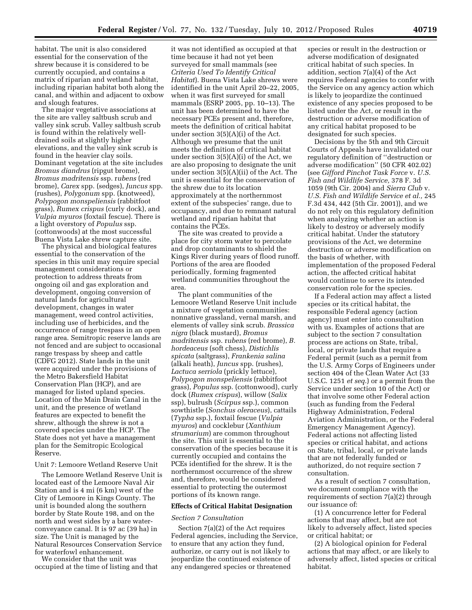habitat. The unit is also considered essential for the conservation of the shrew because it is considered to be currently occupied, and contains a matrix of riparian and wetland habitat, including riparian habitat both along the canal, and within and adjacent to oxbow and slough features.

The major vegetative associations at the site are valley saltbush scrub and valley sink scrub. Valley saltbush scrub is found within the relatively welldrained soils at slightly higher elevations, and the valley sink scrub is found in the heavier clay soils. Dominant vegetation at the site includes *Bromus diandrus* (ripgut brome), *Bromus madritensis* ssp. r*ubens* (red brome), *Carex* spp. (sedges), *Juncus* spp. (rushes), *Polygonum* spp. (knotweed), *Polypogon monspeliensis* (rabbitfoot grass), *Rumex crispus* (curly dock), and *Vulpia myuros* (foxtail fescue). There is a light overstory of *Populus* ssp. (cottonwoods) at the most successful Buena Vista Lake shrew capture site.

The physical and biological features essential to the conservation of the species in this unit may require special management considerations or protection to address threats from ongoing oil and gas exploration and development, ongoing conversion of natural lands for agricultural development, changes in water management, weed control activities, including use of herbicides, and the occurrence of range trespass in an open range area. Semitropic reserve lands are not fenced and are subject to occasional range trespass by sheep and cattle (CDFG 2012). State lands in the unit were acquired under the provisions of the Metro Bakersfield Habitat Conservation Plan (HCP), and are managed for listed upland species. Location of the Main Drain Canal in the unit, and the presence of wetland features are expected to benefit the shrew, although the shrew is not a covered species under the HCP. The State does not yet have a management plan for the Semitropic Ecological Reserve.

#### Unit 7: Lemoore Wetland Reserve Unit

The Lemoore Wetland Reserve Unit is located east of the Lemoore Naval Air Station and is 4 mi (6 km) west of the City of Lemoore in Kings County. The unit is bounded along the southern border by State Route 198, and on the north and west sides by a bare waterconveyance canal. It is 97 ac (39 ha) in size. The Unit is managed by the Natural Resources Conservation Service for waterfowl enhancement.

We consider that the unit was occupied at the time of listing and that

it was not identified as occupied at that time because it had not yet been surveyed for small mammals (see *Criteria Used To Identify Critical Habitat*). Buena Vista Lake shrews were identified in the unit April 20–22, 2005, when it was first surveyed for small mammals (ESRP 2005, pp. 10–13). The unit has been determined to have the necessary PCEs present and, therefore, meets the definition of critical habitat under section 3(5)(A)(i) of the Act. Although we presume that the unit meets the definition of critical habitat under section 3(5)(A)(i) of the Act, we are also proposing to designate the unit under section  $3(5)(A)(ii)$  of the Act. The unit is essential for the conservation of the shrew due to its location approximately at the northernmost extent of the subspecies' range, due to occupancy, and due to remnant natural wetland and riparian habitat that contains the PCEs.

The site was created to provide a place for city storm water to percolate and drop contaminants to shield the Kings River during years of flood runoff. Portions of the area are flooded periodically, forming fragmented wetland communities throughout the area.

The plant communities of the Lemoore Wetland Reserve Unit include a mixture of vegetation communities: nonnative grassland, vernal marsh, and elements of valley sink scrub. *Brassica nigra* (black mustard), *Bromus madritensis* ssp. r*ubens* (red brome), *B. hordeaceus* (soft chess), *Distichlis spicata* (saltgrass), *Frankenia salina*  (alkali heath), *Juncus* spp. (rushes), *Lactuca serriola* (prickly lettuce), *Polypogon monspeliensis* (rabbitfoot grass), *Populus* ssp. (cottonwood), curly dock (*Rumex crispus*), willow (*Salix*  ssp), bulrush (*Scirpus* ssp.), common sowthistle (*Sonchus oleraceus*), cattails (*Typha* ssp.), foxtail fescue (*Vulpia myuros*) and cocklebur (*Xanthium strumarium*) are common throughout the site. This unit is essential to the conservation of the species because it is currently occupied and contains the PCEs identified for the shrew. It is the northernmost occurrence of the shrew and, therefore, would be considered essential to protecting the outermost portions of its known range.

#### **Effects of Critical Habitat Designation**

#### *Section 7 Consultation*

Section 7(a)(2) of the Act requires Federal agencies, including the Service, to ensure that any action they fund, authorize, or carry out is not likely to jeopardize the continued existence of any endangered species or threatened

species or result in the destruction or adverse modification of designated critical habitat of such species. In addition, section 7(a)(4) of the Act requires Federal agencies to confer with the Service on any agency action which is likely to jeopardize the continued existence of any species proposed to be listed under the Act, or result in the destruction or adverse modification of any critical habitat proposed to be designated for such species.

Decisions by the 5th and 9th Circuit Courts of Appeals have invalidated our regulatory definition of ''destruction or adverse modification'' (50 CFR 402.02) (see *Gifford Pinchot Task Force* v. *U.S. Fish and Wildlife Service,* 378 F. 3d 1059 (9th Cir. 2004) and *Sierra Club* v. *U.S. Fish and Wildlife Service et al.,* 245 F.3d 434, 442 (5th Cir. 2001)), and we do not rely on this regulatory definition when analyzing whether an action is likely to destroy or adversely modify critical habitat. Under the statutory provisions of the Act, we determine destruction or adverse modification on the basis of whether, with implementation of the proposed Federal action, the affected critical habitat would continue to serve its intended conservation role for the species.

If a Federal action may affect a listed species or its critical habitat, the responsible Federal agency (action agency) must enter into consultation with us. Examples of actions that are subject to the section 7 consultation process are actions on State, tribal, local, or private lands that require a Federal permit (such as a permit from the U.S. Army Corps of Engineers under section 404 of the Clean Water Act (33 U.S.C. 1251 *et seq.*) or a permit from the Service under section 10 of the Act) or that involve some other Federal action (such as funding from the Federal Highway Administration, Federal Aviation Administration, or the Federal Emergency Management Agency). Federal actions not affecting listed species or critical habitat, and actions on State, tribal, local, or private lands that are not federally funded or authorized, do not require section 7 consultation.

As a result of section 7 consultation, we document compliance with the requirements of section 7(a)(2) through our issuance of:

(1) A concurrence letter for Federal actions that may affect, but are not likely to adversely affect, listed species or critical habitat; or

(2) A biological opinion for Federal actions that may affect, or are likely to adversely affect, listed species or critical habitat.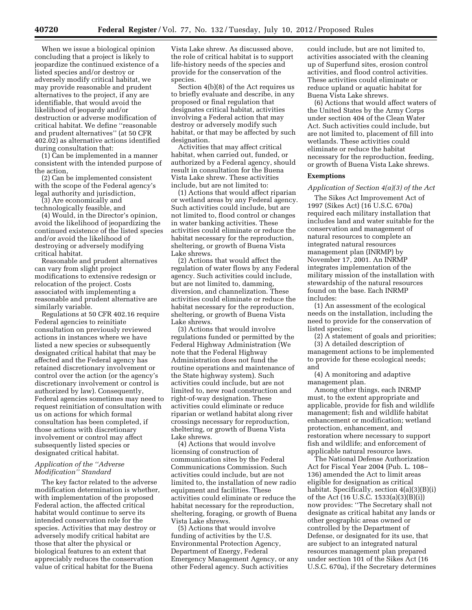When we issue a biological opinion concluding that a project is likely to jeopardize the continued existence of a listed species and/or destroy or adversely modify critical habitat, we may provide reasonable and prudent alternatives to the project, if any are identifiable, that would avoid the likelihood of jeopardy and/or destruction or adverse modification of critical habitat. We define ''reasonable and prudent alternatives'' (at 50 CFR 402.02) as alternative actions identified during consultation that:

(1) Can be implemented in a manner consistent with the intended purpose of the action,

(2) Can be implemented consistent with the scope of the Federal agency's legal authority and jurisdiction,

(3) Are economically and technologically feasible, and

(4) Would, in the Director's opinion, avoid the likelihood of jeopardizing the continued existence of the listed species and/or avoid the likelihood of destroying or adversely modifying critical habitat.

Reasonable and prudent alternatives can vary from slight project modifications to extensive redesign or relocation of the project. Costs associated with implementing a reasonable and prudent alternative are similarly variable.

Regulations at 50 CFR 402.16 require Federal agencies to reinitiate consultation on previously reviewed actions in instances where we have listed a new species or subsequently designated critical habitat that may be affected and the Federal agency has retained discretionary involvement or control over the action (or the agency's discretionary involvement or control is authorized by law). Consequently, Federal agencies sometimes may need to request reinitiation of consultation with us on actions for which formal consultation has been completed, if those actions with discretionary involvement or control may affect subsequently listed species or designated critical habitat.

# *Application of the ''Adverse Modification'' Standard*

The key factor related to the adverse modification determination is whether, with implementation of the proposed Federal action, the affected critical habitat would continue to serve its intended conservation role for the species. Activities that may destroy or adversely modify critical habitat are those that alter the physical or biological features to an extent that appreciably reduces the conservation value of critical habitat for the Buena

Vista Lake shrew. As discussed above, the role of critical habitat is to support life-history needs of the species and provide for the conservation of the species.

Section 4(b)(8) of the Act requires us to briefly evaluate and describe, in any proposed or final regulation that designates critical habitat, activities involving a Federal action that may destroy or adversely modify such habitat, or that may be affected by such designation.

Activities that may affect critical habitat, when carried out, funded, or authorized by a Federal agency, should result in consultation for the Buena Vista Lake shrew. These activities include, but are not limited to:

(1) Actions that would affect riparian or wetland areas by any Federal agency. Such activities could include, but are not limited to, flood control or changes in water banking activities. These activities could eliminate or reduce the habitat necessary for the reproduction, sheltering, or growth of Buena Vista Lake shrews.

(2) Actions that would affect the regulation of water flows by any Federal agency. Such activities could include, but are not limited to, damming, diversion, and channelization. These activities could eliminate or reduce the habitat necessary for the reproduction, sheltering, or growth of Buena Vista Lake shrews.

(3) Actions that would involve regulations funded or permitted by the Federal Highway Administration (We note that the Federal Highway Administration does not fund the routine operations and maintenance of the State highway system). Such activities could include, but are not limited to, new road construction and right-of-way designation. These activities could eliminate or reduce riparian or wetland habitat along river crossings necessary for reproduction, sheltering, or growth of Buena Vista Lake shrews.

(4) Actions that would involve licensing of construction of communication sites by the Federal Communications Commission. Such activities could include, but are not limited to, the installation of new radio equipment and facilities. These activities could eliminate or reduce the habitat necessary for the reproduction, sheltering, foraging, or growth of Buena Vista Lake shrews.

(5) Actions that would involve funding of activities by the U.S. Environmental Protection Agency, Department of Energy, Federal Emergency Management Agency, or any other Federal agency. Such activities

could include, but are not limited to, activities associated with the cleaning up of Superfund sites, erosion control activities, and flood control activities. These activities could eliminate or reduce upland or aquatic habitat for Buena Vista Lake shrews.

(6) Actions that would affect waters of the United States by the Army Corps under section 404 of the Clean Water Act. Such activities could include, but are not limited to, placement of fill into wetlands. These activities could eliminate or reduce the habitat necessary for the reproduction, feeding, or growth of Buena Vista Lake shrews.

# **Exemptions**

#### *Application of Section 4(a)(3) of the Act*

The Sikes Act Improvement Act of 1997 (Sikes Act) (16 U.S.C. 670a) required each military installation that includes land and water suitable for the conservation and management of natural resources to complete an integrated natural resources management plan (INRMP) by November 17, 2001. An INRMP integrates implementation of the military mission of the installation with stewardship of the natural resources found on the base. Each INRMP includes:

(1) An assessment of the ecological needs on the installation, including the need to provide for the conservation of listed species;

(2) A statement of goals and priorities; (3) A detailed description of management actions to be implemented

to provide for these ecological needs; and

(4) A monitoring and adaptive management plan.

Among other things, each INRMP must, to the extent appropriate and applicable, provide for fish and wildlife management; fish and wildlife habitat enhancement or modification; wetland protection, enhancement, and restoration where necessary to support fish and wildlife; and enforcement of applicable natural resource laws.

The National Defense Authorization Act for Fiscal Year 2004 (Pub. L. 108– 136) amended the Act to limit areas eligible for designation as critical habitat. Specifically, section 4(a)(3)(B)(i) of the Act (16 U.S.C. 1533(a)(3)(B)(i)) now provides: ''The Secretary shall not designate as critical habitat any lands or other geographic areas owned or controlled by the Department of Defense, or designated for its use, that are subject to an integrated natural resources management plan prepared under section 101 of the Sikes Act (16 U.S.C. 670a), if the Secretary determines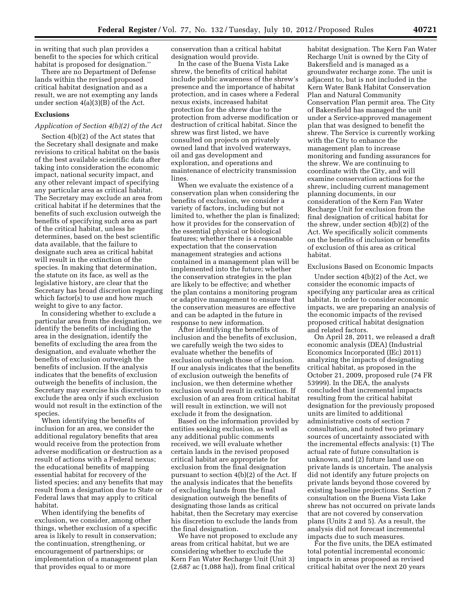in writing that such plan provides a benefit to the species for which critical habitat is proposed for designation.''

There are no Department of Defense lands within the revised proposed critical habitat designation and as a result, we are not exempting any lands under section 4(a)(3)(B) of the Act.

#### **Exclusions**

# *Application of Section 4(b)(2) of the Act*

Section 4(b)(2) of the Act states that the Secretary shall designate and make revisions to critical habitat on the basis of the best available scientific data after taking into consideration the economic impact, national security impact, and any other relevant impact of specifying any particular area as critical habitat. The Secretary may exclude an area from critical habitat if he determines that the benefits of such exclusion outweigh the benefits of specifying such area as part of the critical habitat, unless he determines, based on the best scientific data available, that the failure to designate such area as critical habitat will result in the extinction of the species. In making that determination, the statute on its face, as well as the legislative history, are clear that the Secretary has broad discretion regarding which factor(s) to use and how much weight to give to any factor.

In considering whether to exclude a particular area from the designation, we identify the benefits of including the area in the designation, identify the benefits of excluding the area from the designation, and evaluate whether the benefits of exclusion outweigh the benefits of inclusion. If the analysis indicates that the benefits of exclusion outweigh the benefits of inclusion, the Secretary may exercise his discretion to exclude the area only if such exclusion would not result in the extinction of the species.

When identifying the benefits of inclusion for an area, we consider the additional regulatory benefits that area would receive from the protection from adverse modification or destruction as a result of actions with a Federal nexus; the educational benefits of mapping essential habitat for recovery of the listed species; and any benefits that may result from a designation due to State or Federal laws that may apply to critical habitat.

When identifying the benefits of exclusion, we consider, among other things, whether exclusion of a specific area is likely to result in conservation; the continuation, strengthening, or encouragement of partnerships; or implementation of a management plan that provides equal to or more

conservation than a critical habitat designation would provide.

In the case of the Buena Vista Lake shrew, the benefits of critical habitat include public awareness of the shrew's presence and the importance of habitat protection, and in cases where a Federal nexus exists, increased habitat protection for the shrew due to the protection from adverse modification or destruction of critical habitat. Since the shrew was first listed, we have consulted on projects on privately owned land that involved waterways, oil and gas development and exploration, and operations and maintenance of electricity transmission lines.

When we evaluate the existence of a conservation plan when considering the benefits of exclusion, we consider a variety of factors, including but not limited to, whether the plan is finalized; how it provides for the conservation of the essential physical or biological features; whether there is a reasonable expectation that the conservation management strategies and actions contained in a management plan will be implemented into the future; whether the conservation strategies in the plan are likely to be effective; and whether the plan contains a monitoring program or adaptive management to ensure that the conservation measures are effective and can be adapted in the future in response to new information.

After identifying the benefits of inclusion and the benefits of exclusion, we carefully weigh the two sides to evaluate whether the benefits of exclusion outweigh those of inclusion. If our analysis indicates that the benefits of exclusion outweigh the benefits of inclusion, we then determine whether exclusion would result in extinction. If exclusion of an area from critical habitat will result in extinction, we will not exclude it from the designation.

Based on the information provided by entities seeking exclusion, as well as any additional public comments received, we will evaluate whether certain lands in the revised proposed critical habitat are appropriate for exclusion from the final designation pursuant to section 4(b)(2) of the Act. If the analysis indicates that the benefits of excluding lands from the final designation outweigh the benefits of designating those lands as critical habitat, then the Secretary may exercise his discretion to exclude the lands from the final designation.

We have not proposed to exclude any areas from critical habitat, but we are considering whether to exclude the Kern Fan Water Recharge Unit (Unit 3) (2,687 ac (1,088 ha)), from final critical

habitat designation. The Kern Fan Water Recharge Unit is owned by the City of Bakersfield and is managed as a groundwater recharge zone. The unit is adjacent to, but is not included in the Kern Water Bank Habitat Conservation Plan and Natural Community Conservation Plan permit area. The City of Bakersfield has managed the unit under a Service-approved management plan that was designed to benefit the shrew. The Service is currently working with the City to enhance the management plan to increase monitoring and funding assurances for the shrew. We are continuing to coordinate with the City, and will examine conservation actions for the shrew, including current management planning documents, in our consideration of the Kern Fan Water Recharge Unit for exclusion from the final designation of critical habitat for the shrew, under section 4(b)(2) of the Act. We specifically solicit comments on the benefits of inclusion or benefits of exclusion of this area as critical habitat.

#### Exclusions Based on Economic Impacts

Under section 4(b)(2) of the Act, we consider the economic impacts of specifying any particular area as critical habitat. In order to consider economic impacts, we are preparing an analysis of the economic impacts of the revised proposed critical habitat designation and related factors.

On April 28, 2011, we released a draft economic analysis (DEA) (Industrial Economics Incorporated (IEc) 2011) analyzing the impacts of designating critical habitat, as proposed in the October 21, 2009, proposed rule (74 FR 53999). In the DEA, the analysts concluded that incremental impacts resulting from the critical habitat designation for the previously proposed units are limited to additional administrative costs of section 7 consultation, and noted two primary sources of uncertainty associated with the incremental effects analysis: (1) The actual rate of future consultation is unknown, and (2) future land use on private lands is uncertain. The analysis did not identify any future projects on private lands beyond those covered by existing baseline projections. Section 7 consultation on the Buena Vista Lake shrew has not occurred on private lands that are not covered by conservation plans (Units 2 and 5). As a result, the analysis did not forecast incremental impacts due to such measures.

For the five units, the DEA estimated total potential incremental economic impacts in areas proposed as revised critical habitat over the next 20 years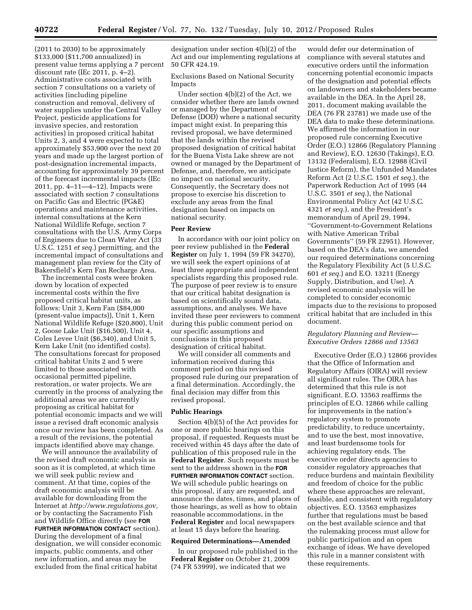(2011 to 2030) to be approximately \$133,000 (\$11,700 annualized) in present value terms applying a 7 percent discount rate (IEc 2011, p. 4–2). Administrative costs associated with section 7 consultations on a variety of activities (including pipeline construction and removal, delivery of water supplies under the Central Valley Project, pesticide applications for invasive species, and restoration activities) in proposed critical habitat Units 2, 3, and 4 were expected to total approximately \$53,900 over the next 20 years and made up the largest portion of post-designation incremental impacts, accounting for approximately 39 percent of the forecast incremental impacts (IEc 2011, pp. 4–11—4–12). Impacts were associated with section 7 consultations on Pacific Gas and Electric (PG&E) operations and maintenance activities, internal consultations at the Kern National Wildlife Refuge, section 7 consultations with the U.S. Army Corps of Engineers due to Clean Water Act (33 U.S.C. 1251 *et seq.*) permitting, and the incremental impact of consultations and management plan review for the City of Bakersfield's Kern Fan Recharge Area.

The incremental costs were broken down by location of expected incremental costs within the five proposed critical habitat units, as follows: Unit 3, Kern Fan (\$84,000 (present-value impacts)), Unit 1, Kern National Wildlife Refuge (\$20,800), Unit 2, Goose Lake Unit (\$16,500), Unit 4, Coles Levee Unit (\$6,340), and Unit 5, Kern Lake Unit (no identified costs). The consultations forecast for proposed critical habitat Units 2 and 5 were limited to those associated with occasional permitted pipeline, restoration, or water projects. We are currently in the process of analyzing the additional areas we are currently proposing as critical habitat for potential economic impacts and we will issue a revised draft economic analysis once our review has been completed. As a result of the revisions, the potential impacts identified above may change.

We will announce the availability of the revised draft economic analysis as soon as it is completed, at which time we will seek public review and comment. At that time, copies of the draft economic analysis will be available for downloading from the Internet at *[http://www.regulations.gov,](http://www.regulations.gov)*  or by contacting the Sacramento Fish and Wildlife Office directly (see **FOR FURTHER INFORMATION CONTACT** section). During the development of a final designation, we will consider economic impacts, public comments, and other new information, and areas may be excluded from the final critical habitat

designation under section 4(b)(2) of the Act and our implementing regulations at 50 CFR 424.19.

Exclusions Based on National Security Impacts

Under section 4(b)(2) of the Act, we consider whether there are lands owned or managed by the Department of Defense (DOD) where a national security impact might exist. In preparing this revised proposal, we have determined that the lands within the revised proposed designation of critical habitat for the Buena Vista Lake shrew are not owned or managed by the Department of Defense, and, therefore, we anticipate no impact on national security. Consequently, the Secretary does not propose to exercise his discretion to exclude any areas from the final designation based on impacts on national security.

#### **Peer Review**

In accordance with our joint policy on peer review published in the **Federal Register** on July 1, 1994 (59 FR 34270), we will seek the expert opinions of at least three appropriate and independent specialists regarding this proposed rule. The purpose of peer review is to ensure that our critical habitat designation is based on scientifically sound data, assumptions, and analyses. We have invited these peer reviewers to comment during this public comment period on our specific assumptions and conclusions in this proposed designation of critical habitat.

We will consider all comments and information received during this comment period on this revised proposed rule during our preparation of a final determination. Accordingly, the final decision may differ from this revised proposal.

#### **Public Hearings**

Section 4(b)(5) of the Act provides for one or more public hearings on this proposal, if requested. Requests must be received within 45 days after the date of publication of this proposed rule in the **Federal Register**. Such requests must be sent to the address shown in the **FOR FURTHER INFORMATION CONTACT** section. We will schedule public hearings on this proposal, if any are requested, and announce the dates, times, and places of those hearings, as well as how to obtain reasonable accommodations, in the **Federal Register** and local newspapers at least 15 days before the hearing.

#### **Required Determinations—Amended**

In our proposed rule published in the **Federal Register** on October 21, 2009 (74 FR 53999), we indicated that we

would defer our determination of compliance with several statutes and executive orders until the information concerning potential economic impacts of the designation and potential effects on landowners and stakeholders became available in the DEA. In the April 28, 2011, document making available the DEA (76 FR 23781) we made use of the DEA data to make these determinations. We affirmed the information in our proposed rule concerning Executive Order (E.O.) 12866 (Regulatory Planning and Review), E.O. 12630 (Takings), E.O. 13132 (Federalism), E.O. 12988 (Civil Justice Reform), the Unfunded Mandates Reform Act (2 U.S.C. 1501 *et seq.*), the Paperwork Reduction Act of 1995 (44 U.S.C. 3501 *et seq.*), the National Environmental Policy Act (42 U.S.C. 4321 *et seq.*), and the President's memorandum of April 29, 1994, ''Government-to-Government Relations with Native American Tribal Governments'' (59 FR 22951). However, based on the DEA's data, we amended our required determinations concerning the Regulatory Flexibility Act (5 U.S.C. 601 *et seq.*) and E.O. 13211 (Energy Supply, Distribution, and Use). A revised economic analysis will be completed to consider economic impacts due to the revisions to proposed critical habitat that are included in this document.

# *Regulatory Planning and Review— Executive Orders 12866 and 13563*

Executive Order (E.O.) 12866 provides that the Office of Information and Regulatory Affairs (OIRA) will review all significant rules. The OIRA has determined that this rule is not significant. E.O. 13563 reaffirms the principles of E.O. 12866 while calling for improvements in the nation's regulatory system to promote predictability, to reduce uncertainty, and to use the best, most innovative, and least burdensome tools for achieving regulatory ends. The executive order directs agencies to consider regulatory approaches that reduce burdens and maintain flexibility and freedom of choice for the public where these approaches are relevant, feasible, and consistent with regulatory objectives. E.O. 13563 emphasizes further that regulations must be based on the best available science and that the rulemaking process must allow for public participation and an open exchange of ideas. We have developed this rule in a manner consistent with these requirements.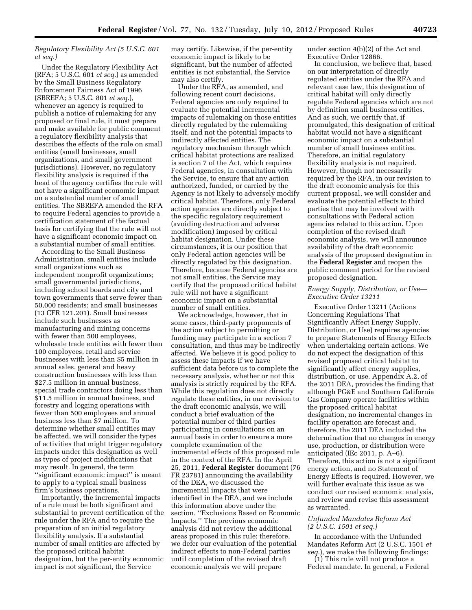# *Regulatory Flexibility Act (5 U.S.C. 601 et seq.)*

Under the Regulatory Flexibility Act (RFA; 5 U.S.C. 601 *et seq.*) as amended by the Small Business Regulatory Enforcement Fairness Act of 1996 (SBREFA; 5 U.S.C. 801 *et seq.*), whenever an agency is required to publish a notice of rulemaking for any proposed or final rule, it must prepare and make available for public comment a regulatory flexibility analysis that describes the effects of the rule on small entities (small businesses, small organizations, and small government jurisdictions). However, no regulatory flexibility analysis is required if the head of the agency certifies the rule will not have a significant economic impact on a substantial number of small entities. The SBREFA amended the RFA to require Federal agencies to provide a certification statement of the factual basis for certifying that the rule will not have a significant economic impact on a substantial number of small entities.

According to the Small Business Administration, small entities include small organizations such as independent nonprofit organizations; small governmental jurisdictions, including school boards and city and town governments that serve fewer than 50,000 residents; and small businesses (13 CFR 121.201). Small businesses include such businesses as manufacturing and mining concerns with fewer than 500 employees, wholesale trade entities with fewer than 100 employees, retail and service businesses with less than \$5 million in annual sales, general and heavy construction businesses with less than \$27.5 million in annual business, special trade contractors doing less than \$11.5 million in annual business, and forestry and logging operations with fewer than 500 employees and annual business less than \$7 million. To determine whether small entities may be affected, we will consider the types of activities that might trigger regulatory impacts under this designation as well as types of project modifications that may result. In general, the term ''significant economic impact'' is meant to apply to a typical small business firm's business operations.

Importantly, the incremental impacts of a rule must be both significant and substantial to prevent certification of the rule under the RFA and to require the preparation of an initial regulatory flexibility analysis. If a substantial number of small entities are affected by the proposed critical habitat designation, but the per-entity economic impact is not significant, the Service

may certify. Likewise, if the per-entity economic impact is likely to be significant, but the number of affected entities is not substantial, the Service may also certify.

Under the RFA, as amended, and following recent court decisions, Federal agencies are only required to evaluate the potential incremental impacts of rulemaking on those entities directly regulated by the rulemaking itself, and not the potential impacts to indirectly affected entities. The regulatory mechanism through which critical habitat protections are realized is section 7 of the Act, which requires Federal agencies, in consultation with the Service, to ensure that any action authorized, funded, or carried by the Agency is not likely to adversely modify critical habitat. Therefore, only Federal action agencies are directly subject to the specific regulatory requirement (avoiding destruction and adverse modification) imposed by critical habitat designation. Under these circumstances, it is our position that only Federal action agencies will be directly regulated by this designation. Therefore, because Federal agencies are not small entities, the Service may certify that the proposed critical habitat rule will not have a significant economic impact on a substantial number of small entities.

We acknowledge, however, that in some cases, third-party proponents of the action subject to permitting or funding may participate in a section 7 consultation, and thus may be indirectly affected. We believe it is good policy to assess these impacts if we have sufficient data before us to complete the necessary analysis, whether or not this analysis is strictly required by the RFA. While this regulation does not directly regulate these entities, in our revision to the draft economic analysis, we will conduct a brief evaluation of the potential number of third parties participating in consultations on an annual basis in order to ensure a more complete examination of the incremental effects of this proposed rule in the context of the RFA. In the April 25, 2011, **Federal Register** document (76 FR 23781) announcing the availability of the DEA, we discussed the incremental impacts that were identified in the DEA, and we include this information above under the section, ''Exclusions Based on Economic Impacts.'' The previous economic analysis did not review the additional areas proposed in this rule; therefore, we defer our evaluation of the potential indirect effects to non-Federal parties until completion of the revised draft economic analysis we will prepare

under section 4(b)(2) of the Act and Executive Order 12866.

In conclusion, we believe that, based on our interpretation of directly regulated entities under the RFA and relevant case law, this designation of critical habitat will only directly regulate Federal agencies which are not by definition small business entities. And as such, we certify that, if promulgated, this designation of critical habitat would not have a significant economic impact on a substantial number of small business entities. Therefore, an initial regulatory flexibility analysis is not required. However, though not necessarily required by the RFA, in our revision to the draft economic analysis for this current proposal, we will consider and evaluate the potential effects to third parties that may be involved with consultations with Federal action agencies related to this action. Upon completion of the revised draft economic analysis, we will announce availability of the draft economic analysis of the proposed designation in the **Federal Register** and reopen the public comment period for the revised proposed designation.

# *Energy Supply, Distribution, or Use— Executive Order 13211*

Executive Order 13211 (Actions Concerning Regulations That Significantly Affect Energy Supply, Distribution, or Use) requires agencies to prepare Statements of Energy Effects when undertaking certain actions. We do not expect the designation of this revised proposed critical habitat to significantly affect energy supplies, distribution, or use. Appendix A.2, of the 2011 DEA, provides the finding that although PG&E and Southern California Gas Company operate facilities within the proposed critical habitat designation, no incremental changes in facility operation are forecast and, therefore, the 2011 DEA included the determination that no changes in energy use, production, or distribution were anticipated (IEc 2011, p. A–6). Therefore, this action is not a significant energy action, and no Statement of Energy Effects is required. However, we will further evaluate this issue as we conduct our revised economic analysis, and review and revise this assessment as warranted.

# *Unfunded Mandates Reform Act (2 U.S.C. 1501 et seq.)*

In accordance with the Unfunded Mandates Reform Act (2 U.S.C. 1501 *et seq.*), we make the following findings: (1) This rule will not produce a

Federal mandate. In general, a Federal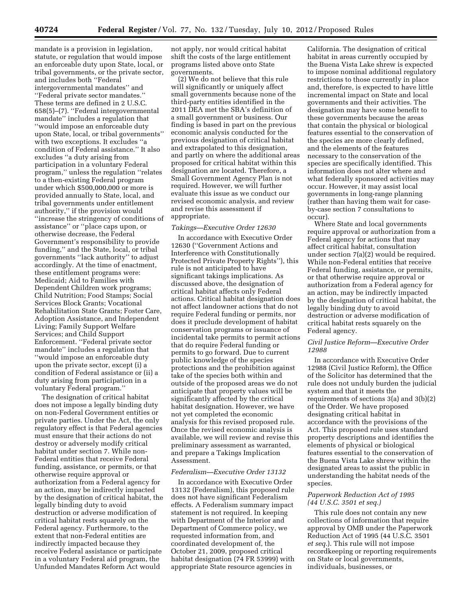mandate is a provision in legislation, statute, or regulation that would impose an enforceable duty upon State, local, or tribal governments, or the private sector, and includes both ''Federal intergovernmental mandates'' and ''Federal private sector mandates.'' These terms are defined in 2 U.S.C. 658(5)–(7). ''Federal intergovernmental mandate'' includes a regulation that ''would impose an enforceable duty upon State, local, or tribal governments'' with two exceptions. It excludes ''a condition of Federal assistance.'' It also excludes ''a duty arising from participation in a voluntary Federal program,'' unless the regulation ''relates to a then-existing Federal program under which \$500,000,000 or more is provided annually to State, local, and tribal governments under entitlement authority,'' if the provision would ''increase the stringency of conditions of assistance'' or ''place caps upon, or otherwise decrease, the Federal Government's responsibility to provide funding,'' and the State, local, or tribal governments ''lack authority'' to adjust accordingly. At the time of enactment, these entitlement programs were: Medicaid; Aid to Families with Dependent Children work programs; Child Nutrition; Food Stamps; Social Services Block Grants; Vocational Rehabilitation State Grants; Foster Care, Adoption Assistance, and Independent Living; Family Support Welfare Services; and Child Support Enforcement. ''Federal private sector mandate'' includes a regulation that ''would impose an enforceable duty upon the private sector, except (i) a condition of Federal assistance or (ii) a duty arising from participation in a voluntary Federal program.''

The designation of critical habitat does not impose a legally binding duty on non-Federal Government entities or private parties. Under the Act, the only regulatory effect is that Federal agencies must ensure that their actions do not destroy or adversely modify critical habitat under section 7. While non-Federal entities that receive Federal funding, assistance, or permits, or that otherwise require approval or authorization from a Federal agency for an action, may be indirectly impacted by the designation of critical habitat, the legally binding duty to avoid destruction or adverse modification of critical habitat rests squarely on the Federal agency. Furthermore, to the extent that non-Federal entities are indirectly impacted because they receive Federal assistance or participate in a voluntary Federal aid program, the Unfunded Mandates Reform Act would

not apply, nor would critical habitat shift the costs of the large entitlement programs listed above onto State governments.

(2) We do not believe that this rule will significantly or uniquely affect small governments because none of the third-party entities identified in the 2011 DEA met the SBA's definition of a small government or business. Our finding is based in part on the previous economic analysis conducted for the previous designation of critical habitat and extrapolated to this designation, and partly on where the additional areas proposed for critical habitat within this designation are located. Therefore, a Small Government Agency Plan is not required. However, we will further evaluate this issue as we conduct our revised economic analysis, and review and revise this assessment if appropriate.

#### *Takings—Executive Order 12630*

In accordance with Executive Order 12630 (''Government Actions and Interference with Constitutionally Protected Private Property Rights''), this rule is not anticipated to have significant takings implications. As discussed above, the designation of critical habitat affects only Federal actions. Critical habitat designation does not affect landowner actions that do not require Federal funding or permits, nor does it preclude development of habitat conservation programs or issuance of incidental take permits to permit actions that do require Federal funding or permits to go forward. Due to current public knowledge of the species protections and the prohibition against take of the species both within and outside of the proposed areas we do not anticipate that property values will be significantly affected by the critical habitat designation. However, we have not yet completed the economic analysis for this revised proposed rule. Once the revised economic analysis is available, we will review and revise this preliminary assessment as warranted, and prepare a Takings Implication Assessment.

#### *Federalism—Executive Order 13132*

In accordance with Executive Order 13132 (Federalism), this proposed rule does not have significant Federalism effects. A Federalism summary impact statement is not required. In keeping with Department of the Interior and Department of Commerce policy, we requested information from, and coordinated development of, the October 21, 2009, proposed critical habitat designation (74 FR 53999) with appropriate State resource agencies in

California. The designation of critical habitat in areas currently occupied by the Buena Vista Lake shrew is expected to impose nominal additional regulatory restrictions to those currently in place and, therefore, is expected to have little incremental impact on State and local governments and their activities. The designation may have some benefit to these governments because the areas that contain the physical or biological features essential to the conservation of the species are more clearly defined, and the elements of the features necessary to the conservation of the species are specifically identified. This information does not alter where and what federally sponsored activities may occur. However, it may assist local governments in long-range planning (rather than having them wait for caseby-case section 7 consultations to occur).

Where State and local governments require approval or authorization from a Federal agency for actions that may affect critical habitat, consultation under section 7(a)(2) would be required. While non-Federal entities that receive Federal funding, assistance, or permits, or that otherwise require approval or authorization from a Federal agency for an action, may be indirectly impacted by the designation of critical habitat, the legally binding duty to avoid destruction or adverse modification of critical habitat rests squarely on the Federal agency.

#### *Civil Justice Reform—Executive Order 12988*

In accordance with Executive Order 12988 (Civil Justice Reform), the Office of the Solicitor has determined that the rule does not unduly burden the judicial system and that it meets the requirements of sections 3(a) and 3(b)(2) of the Order. We have proposed designating critical habitat in accordance with the provisions of the Act. This proposed rule uses standard property descriptions and identifies the elements of physical or biological features essential to the conservation of the Buena Vista Lake shrew within the designated areas to assist the public in understanding the habitat needs of the species.

# *Paperwork Reduction Act of 1995 (44 U.S.C. 3501 et seq.)*

This rule does not contain any new collections of information that require approval by OMB under the Paperwork Reduction Act of 1995 (44 U.S.C. 3501 *et seq.*). This rule will not impose recordkeeping or reporting requirements on State or local governments, individuals, businesses, or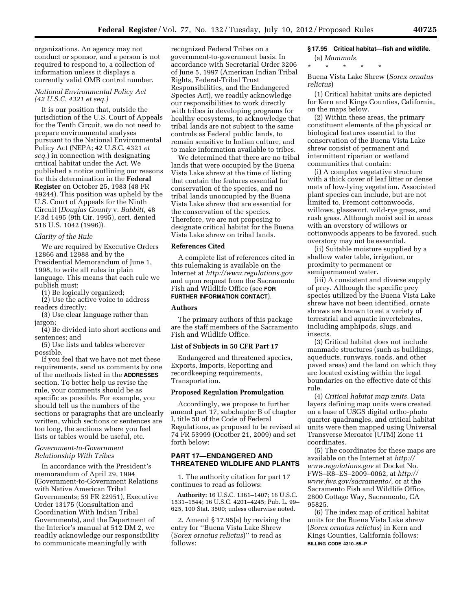organizations. An agency may not conduct or sponsor, and a person is not required to respond to, a collection of information unless it displays a currently valid OMB control number.

# *National Environmental Policy Act (42 U.S.C. 4321 et seq.)*

It is our position that, outside the jurisdiction of the U.S. Court of Appeals for the Tenth Circuit, we do not need to prepare environmental analyses pursuant to the National Environmental Policy Act (NEPA; 42 U.S.C. 4321 *et seq.*) in connection with designating critical habitat under the Act. We published a notice outlining our reasons for this determination in the **Federal Register** on October 25, 1983 (48 FR 49244). This position was upheld by the U.S. Court of Appeals for the Ninth Circuit (*Douglas County* v. *Babbitt,* 48 F.3d 1495 (9th Cir. 1995), cert. denied 516 U.S. 1042 (1996)).

#### *Clarity of the Rule*

We are required by Executive Orders 12866 and 12988 and by the Presidential Memorandum of June 1, 1998, to write all rules in plain language. This means that each rule we publish must:

(1) Be logically organized;

(2) Use the active voice to address readers directly;

(3) Use clear language rather than jargon;

(4) Be divided into short sections and sentences; and

(5) Use lists and tables wherever possible.

If you feel that we have not met these requirements, send us comments by one of the methods listed in the **ADDRESSES** section. To better help us revise the rule, your comments should be as specific as possible. For example, you should tell us the numbers of the sections or paragraphs that are unclearly written, which sections or sentences are too long, the sections where you feel lists or tables would be useful, etc.

# *Government-to-Government Relationship With Tribes*

In accordance with the President's memorandum of April 29, 1994 (Government-to-Government Relations with Native American Tribal Governments; 59 FR 22951), Executive Order 13175 (Consultation and Coordination With Indian Tribal Governments), and the Department of the Interior's manual at 512 DM 2, we readily acknowledge our responsibility to communicate meaningfully with

recognized Federal Tribes on a government-to-government basis. In accordance with Secretarial Order 3206 of June 5, 1997 (American Indian Tribal Rights, Federal-Tribal Trust Responsibilities, and the Endangered Species Act), we readily acknowledge our responsibilities to work directly with tribes in developing programs for healthy ecosystems, to acknowledge that tribal lands are not subject to the same controls as Federal public lands, to remain sensitive to Indian culture, and to make information available to tribes.

We determined that there are no tribal lands that were occupied by the Buena Vista Lake shrew at the time of listing that contain the features essential for conservation of the species, and no tribal lands unoccupied by the Buena Vista Lake shrew that are essential for the conservation of the species. Therefore, we are not proposing to designate critical habitat for the Buena Vista Lake shrew on tribal lands.

# **References Cited**

A complete list of references cited in this rulemaking is available on the Internet at *<http://www.regulations.gov>*  and upon request from the Sacramento Fish and Wildlife Office (see **FOR FURTHER INFORMATION CONTACT**).

# **Authors**

The primary authors of this package are the staff members of the Sacramento Fish and Wildlife Office.

#### **List of Subjects in 50 CFR Part 17**

Endangered and threatened species, Exports, Imports, Reporting and recordkeeping requirements, Transportation.

# **Proposed Regulation Promulgation**

Accordingly, we propose to further amend part 17, subchapter B of chapter I, title 50 of the Code of Federal Regulations, as proposed to be revised at 74 FR 53999 (Ocotber 21, 2009) and set forth below:

# **PART 17—ENDANGERED AND THREATENED WILDLIFE AND PLANTS**

1. The authority citation for part 17 continues to read as follows:

**Authority:** 16 U.S.C. 1361–1407; 16 U.S.C. 1531–1544; 16 U.S.C. 4201–4245; Pub. L. 99– 625, 100 Stat. 3500; unless otherwise noted.

2. Amend § 17.95(a) by revising the entry for ''Buena Vista Lake Shrew (*Sorex ornatus relictus*)'' to read as follows:

# **§ 17.95 Critical habitat—fish and wildlife.**

(a) *Mammals.*  \* \* \* \* \*

Buena Vista Lake Shrew (*Sorex ornatus relictus*)

(1) Critical habitat units are depicted for Kern and Kings Counties, California, on the maps below.

(2) Within these areas, the primary constituent elements of the physical or biological features essential to the conservation of the Buena Vista Lake shrew consist of permanent and intermittent riparian or wetland communities that contain:

(i) A complex vegetative structure with a thick cover of leaf litter or dense mats of low-lying vegetation. Associated plant species can include, but are not limited to, Fremont cottonwoods, willows, glasswort, wild-rye grass, and rush grass. Although moist soil in areas with an overstory of willows or cottonwoods appears to be favored, such overstory may not be essential.

(ii) Suitable moisture supplied by a shallow water table, irrigation, or proximity to permanent or semipermanent water.

(iii) A consistent and diverse supply of prey. Although the specific prey species utilized by the Buena Vista Lake shrew have not been identified, ornate shrews are known to eat a variety of terrestrial and aquatic invertebrates, including amphipods, slugs, and insects.

(3) Critical habitat does not include manmade structures (such as buildings, aqueducts, runways, roads, and other paved areas) and the land on which they are located existing within the legal boundaries on the effective date of this rule.

(4) *Critical habitat map units.* Data layers defining map units were created on a base of USGS digital ortho-photo quarter-quadrangles, and critical habitat units were then mapped using Universal Transverse Mercator (UTM) Zone 11 coordinates.

(5) The coordinates for these maps are available on the Internet at *[http://](http://www.regulations.gov) [www.regulations.gov](http://www.regulations.gov)* at Docket No. FWS–R8–ES–2009–0062, at *[http://](http://www.fws.gov/sacramento/) [www.fws.gov/sacramento/,](http://www.fws.gov/sacramento/)* or at the Sacramento Fish and Wildlife Office, 2800 Cottage Way, Sacramento, CA 95825.

(6) The index map of critical habitat units for the Buena Vista Lake shrew (*Sorex ornatus relictus*) in Kern and Kings Counties, California follows: **BILLING CODE 4310–55–P**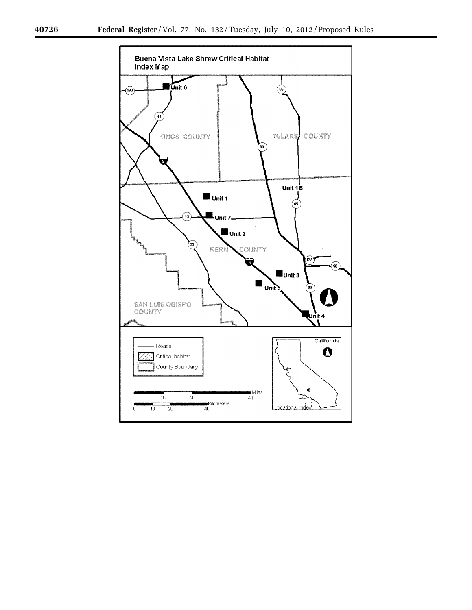п

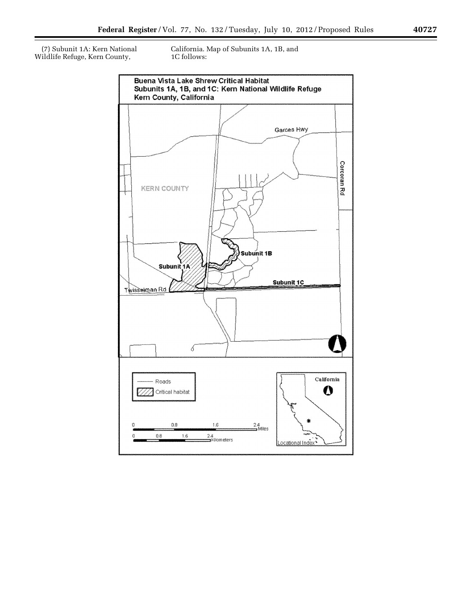(7) Subunit 1A: Kern National Wildlife Refuge, Kern County,

California. Map of Subunits 1A, 1B, and 1C follows:

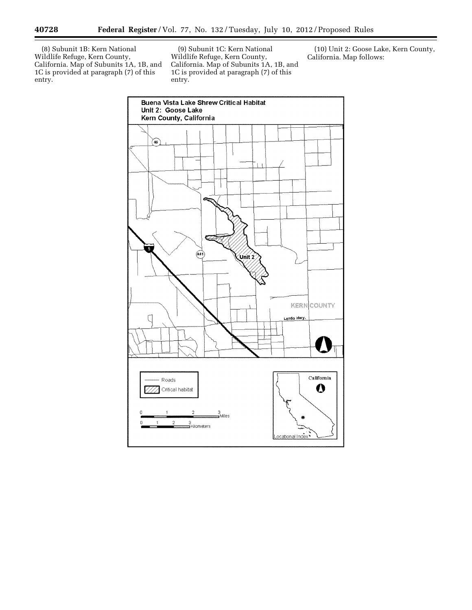(8) Subunit 1B: Kern National Wildlife Refuge, Kern County, California. Map of Subunits 1A, 1B, and 1C is provided at paragraph (7) of this entry.

(9) Subunit 1C: Kern National Wildlife Refuge, Kern County, California. Map of Subunits 1A, 1B, and 1C is provided at paragraph (7) of this entry.

(10) Unit 2: Goose Lake, Kern County, California. Map follows:



-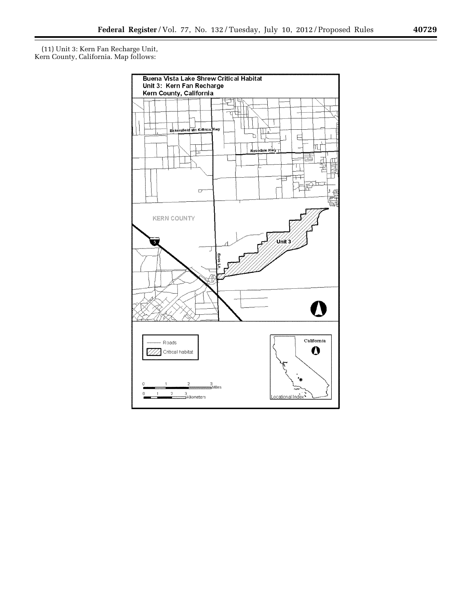(11) Unit 3: Kern Fan Recharge Unit, Kern County, California. Map follows:

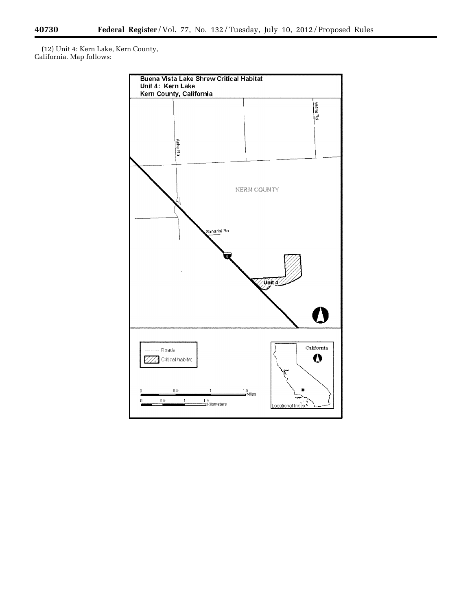Ξ

(12) Unit 4: Kern Lake, Kern County, California. Map follows:

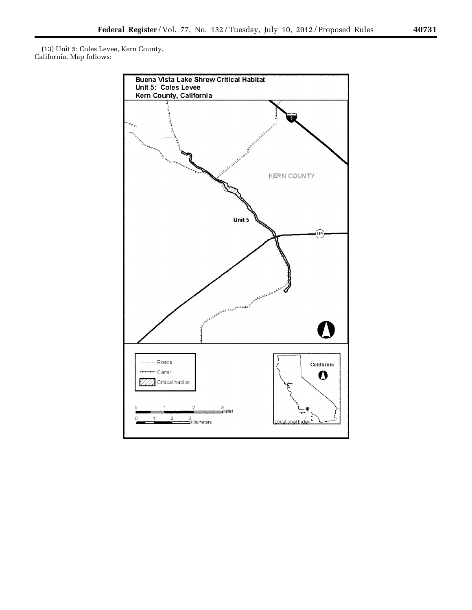(13) Unit 5: Coles Levee, Kern County, California. Map follows:



۰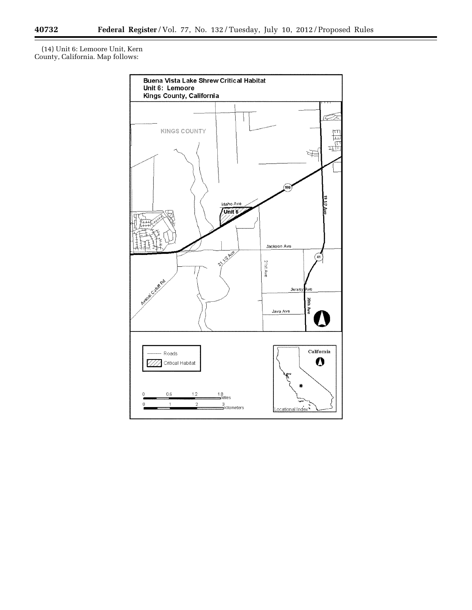$\equiv$ 

(14) Unit 6: Lemoore Unit, Kern County, California. Map follows: